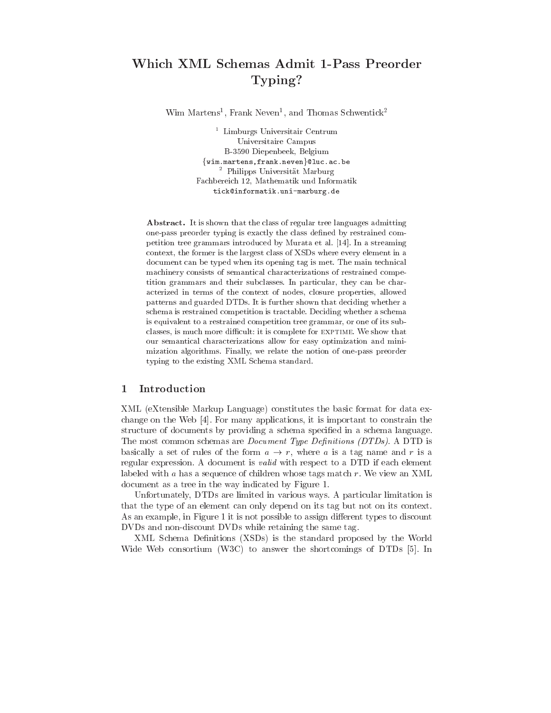# Which XML Schemas Admit 1-Pass Preorder Typing?

Wim Martens<sup>1</sup>, Frank Neven<sup>1</sup>, and Thomas Schwentick<sup>2</sup>

<sup>1</sup> Limburgs Universitair Centrum Universitaire Campus B-3590 Diepenbeek, Belgium {wim.martens, frank.neven}@luc.ac.be <sup>2</sup> Philipps Universität Marburg Fachbereich 12, Mathematik und Informatik tick@informatik.uni-marburg.de

Abstract. It is shown that the class of regular tree languages admitting one-pass preorder typing is exactly the class defined by restrained competition tree grammars introduced by Murata et al. [14]. In a streaming context, the former is the largest class of XSDs where every element in a document can be typed when its opening tag is met. The main technical machinery consists of semantical characterizations of restrained competition grammars and their subclasses. In particular, they can be characterized in terms of the context of nodes, closure properties, allowed patterns and guarded DTDs. It is further shown that deciding whether a schema is restrained competition is tractable. Deciding whether a schema is equivalent to a restrained competition tree grammar, or one of its subclasses, is much more difficult: it is complete for EXPTIME. We show that our semantical characterizations allow for easy optimization and minimization algorithms. Finally, we relate the notion of one-pass preorder typing to the existing XML Schema standard.

#### 1 Introduction

XML (eXtensible Markup Language) constitutes the basic format for data exchange on the Web [4]. For many applications, it is important to constrain the structure of documents by providing a schema specified in a schema language. The most common schemas are *Document Type Definitions (DTDs)*. A DTD is basically a set of rules of the form  $a \to r$ , where a is a tag name and r is a regular expression. A document is *valid* with respect to a DTD if each element labeled with  $a$  has a sequence of children whose tags match  $r$ . We view an XML document as a tree in the way indicated by Figure 1.

Unfortunately, DTDs are limited in various ways. A particular limitation is that the type of an element can only depend on its tag but not on its context. As an example, in Figure 1 it is not possible to assign different types to discount DVDs and non-discount DVDs while retaining the same tag.

XML Schema Definitions (XSDs) is the standard proposed by the World Wide Web consortium (W3C) to answer the shortcomings of DTDs [5]. In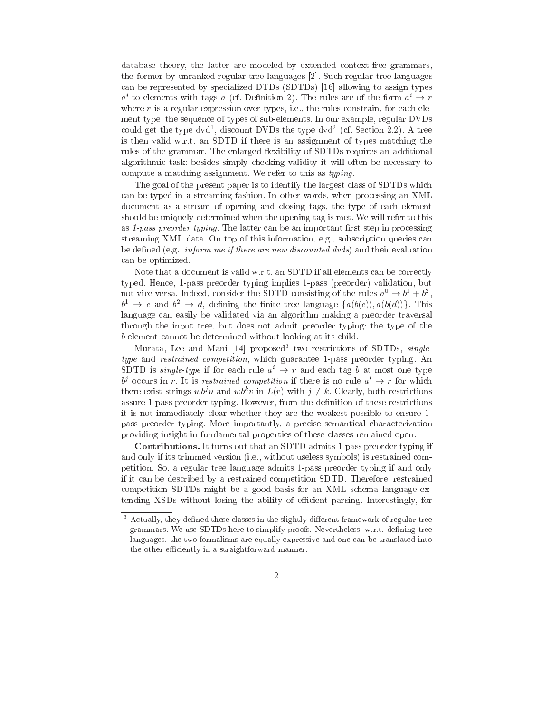database theory, the latter are modeled by extended context-free grammars, the former by unranked regular tree languages [2]. Such regular tree languages can be represented by specialized DTDs (SDTDs) [16] allowing to assign types  $a^i$  to elements with tags a (cf. Definition 2). The rules are of the form  $a^i \rightarrow r$ where  $r$  is a regular expression over types, i.e., the rules constrain, for each element type, the sequence of types of sub-elements. In our example, regular DVDs could get the type  $dvd^1$ , discount DVDs the type  $dvd^2$  (cf. Section 2.2). A tree is then valid w.r.t. an SDTD if there is an assignment of types matching the rules of the grammar. The enlarged flexibility of SDTDs requires an additional algorithmic task: besides simply checking validity it will often be necessary to compute a matching assignment. We refer to this as typing.

The goal of the present paper is to identify the largest class of SDTDs which can be typed in a streaming fashion. In other words, when processing an XML document as a stream of opening and closing tags, the type of each element should be uniquely determined when the opening tag is met. We will refer to this as 1-pass preorder typing. The latter can be an important first step in processing streaming XML data. On top of this information, e.g., subscription queries can be defined (e.g., *inform me if there are new discounted dvds*) and their evaluation can be optimized.

Note that a document is valid w.r.t. an SDTD if all elements can be correctly typed. Hence, 1-pass preorder typing implies 1-pass (preorder) validation, but not vice versa. Indeed, consider the SDTD consisting of the rules  $a^0 \rightarrow b^1 + b^2$ ,  $b^1 \rightarrow c$  and  $b^2 \rightarrow d$ , defining the finite tree language  $\{a(b(c)), a(b(d))\}$ . This language can easily be validated via an algorithm making a preorder traversal through the input tree, but does not admit preorder typing: the type of the b-element cannot be determined without looking at its child.

Murata, Lee and Mani [14] proposed<sup>3</sup> two restrictions of SDTDs, single*type* and *restrained competition*, which guarantee 1-pass preorder typing. An SDTD is *single-type* if for each rule  $a^i \rightarrow r$  and each tag b at most one type  $b^j$  occurs in r. It is restrained competition if there is no rule  $a^i \rightarrow r$  for which there exist strings  $wb^ju$  and  $wb^kv$  in  $L(r)$  with  $j \neq k$ . Clearly, both restrictions assure 1-pass preorder typing. However, from the definition of these restrictions it is not immediately clear whether they are the weakest possible to ensure 1pass preorder typing. More importantly, a precise semantical characterization providing insight in fundamental properties of these classes remained open.

**Contributions.** It turns out that an SDTD admits 1-pass preorder typing if and only if its trimmed version (i.e., without useless symbols) is restrained competition. So, a regular tree language admits 1-pass preorder typing if and only if it can be described by a restrained competition SDTD. Therefore, restrained competition SDTDs might be a good basis for an XML schema language extending XSDs without losing the ability of efficient parsing. Interestingly, for

 $^3\,$  Actually, they defined these classes in the slightly different framework of regular tree grammars. We use SDTDs here to simplify proofs. Nevertheless, w.r.t. defining tree languages, the two formalisms are equally expressive and one can be translated into the other efficiently in a straightforward manner.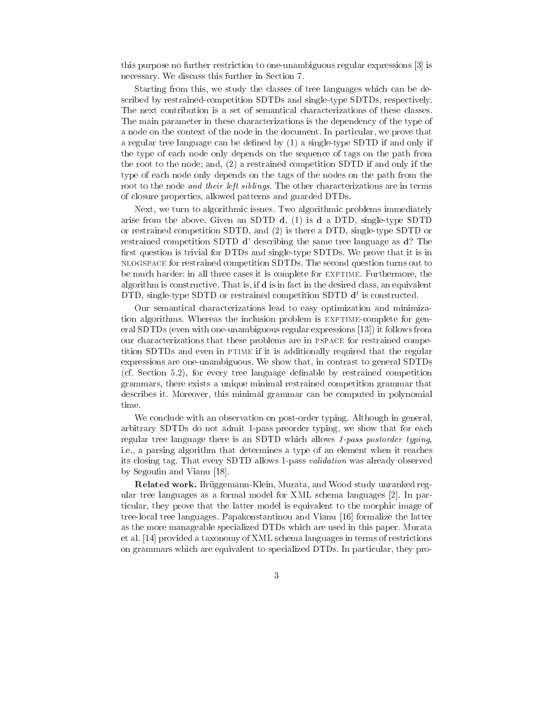this purpose no further restriction to one-unambiguous regular expressions [3] is necessary. We discuss this further in Section 7.

Starting from this, we study the classes of tree languages which can be described by restrained-competition SDTDs and single-type SDTDs, respectively. The next contribution is a set of semantical characterizations of these classes. The main parameter in these characterizations is the dependency of the type of a node on the context of the node in the document. In particular, we prove that a regular tree language can be defined by  $(1)$  a single-type SDTD if and only if the type of each node only depends on the sequence of tags on the path from the root to the node; and, (2) a restrained competition SDTD if and only if the type of each node only depends on the tags of the nodes on the path from the root to the node and their left siblings. The other characterizations are in terms of closure properties, allowed patterns and guarded DTDs.

Next, we turn to algorithmic issues. Two algorithmic problems immediately arise from the above. Given an SDTD  $\bf{d}$ , (1) is  $\bf{d}$  a DTD, single-type SDTD or restrained competition SDTD, and (2) is there a DTD, single-type SDTD or restrained competition SDTD d' describing the same tree language as d? The first question is trivial for DTDs and single-type SDTDs. We prove that it is in NLOGSPACE for restrained competition SDTDs. The second question turns out to be much harder: in all three cases it is complete for EXPTIME. Furthermore, the algorithm is constructive. That is, if  $\bf{d}$  is in fact in the desired class, an equivalent DTD, single-type SDTD or restrained competition SDTD d' is constructed.

Our semantical characterizations lead to easy optimization and minimization algorithms. Whereas the inclusion problem is EXPTIME-complete for general SDTDs (even with one-unambiguous regular expressions  $[13]$ ) it follows from our characterizations that these problems are in PSPACE for restrained competition SDTDs and even in PTIME if it is additionally required that the regular expressions are one-unambiguous. We show that, in contrast to general SDTDs (cf. Section 5.2), for every tree language definable by restrained competition grammars, there exists a unique minimal restrained competition grammar that describes it. Moreover, this minimal grammar can be computed in polynomial time.

We conclude with an observation on post-order typing. Although in general, arbitrary SDTDs do not admit 1-pass preorder typing, we show that for each regular tree language there is an SDTD which allows 1-pass postorder typing, i.e., a parsing algorithm that determines a type of an element when it reaches its closing tag. That every SDTD allows 1-pass validation was already observed by Segoufin and Vianu [18].

Related work. Brüggemann-Klein, Murata, and Wood study unranked regular tree languages as a formal model for XML schema languages [2]. In particular, they prove that the latter model is equivalent to the morphic image of tree-local tree languages. Papakonstantinou and Vianu [16] formalize the latter as the more manageable specialized DTDs which are used in this paper. Murata et al. [14] provided a taxonomy of XML schema languages in terms of restrictions on grammars which are equivalent to specialized DTDs. In particular, they pro-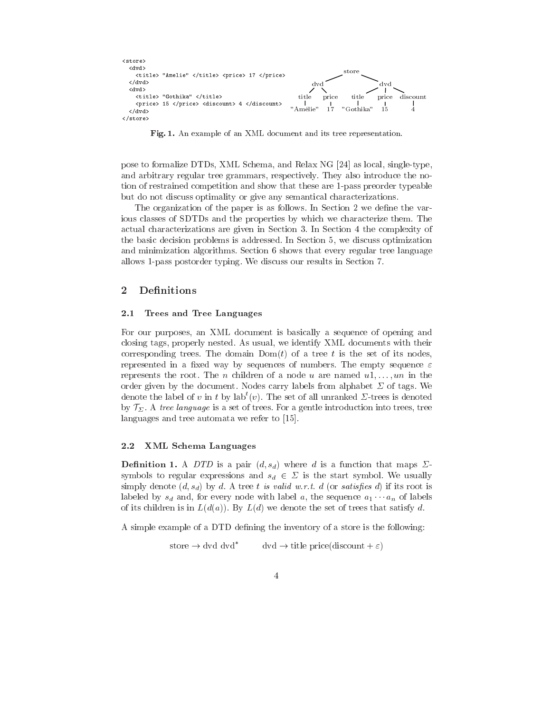

Fig. 1. An example of an XML document and its tree representation.

pose to formalize DTDs, XML Schema, and Relax NG [24] as local, single-type, and arbitrary regular tree grammars, respectively. They also introduce the notion of restrained competition and show that these are 1-pass preorder typeable but do not discuss optimality or give any semantical characterizations.

The organization of the paper is as follows. In Section 2 we define the various classes of SDTDs and the properties by which we characterize them. The actual characterizations are given in Section 3. In Section 4 the complexity of the basic decision problems is addressed. In Section 5, we discuss optimization and minimization algorithms. Section 6 shows that every regular tree language allows 1-pass postorder typing. We discuss our results in Section 7.

#### $\boldsymbol{2}$  $\mathbf{Definitions}$

#### Trees and Tree Languages  $2.1$

For our purposes, an XML document is basically a sequence of opening and closing tags, properly nested. As usual, we identify XML documents with their corresponding trees. The domain  $Dom(t)$  of a tree t is the set of its nodes, represented in a fixed way by sequences of numbers. The empty sequence  $\varepsilon$ represents the root. The *n* children of a node *u* are named  $u_1, \ldots, u_n$  in the order given by the document. Nodes carry labels from alphabet  $\Sigma$  of tags. We denote the label of v in t by  $\mathrm{lab}^{t}(v)$ . The set of all unranked  $\Sigma$ -trees is denoted by  $\mathcal{T}_{\Sigma}$ . A tree language is a set of trees. For a gentle introduction into trees, tree languages and tree automata we refer to [15].

#### 2.2 **XML Schema Languages**

**Definition 1.** A DTD is a pair  $(d, s_d)$  where d is a function that maps  $\Sigma$ symbols to regular expressions and  $s_d \in \Sigma$  is the start symbol. We usually simply denote  $(d, s_d)$  by d. A tree t is valid w.r.t. d (or satisfies d) if its root is labeled by  $s_d$  and, for every node with label a, the sequence  $a_1 \cdots a_n$  of labels of its children is in  $L(d(a))$ . By  $L(d)$  we denote the set of trees that satisfy d.

A simple example of a DTD defining the inventory of a store is the following:

store  $\rightarrow$  dvd dvd<sup>\*</sup>  $dvd \rightarrow$  title price(discount  $+\varepsilon$ )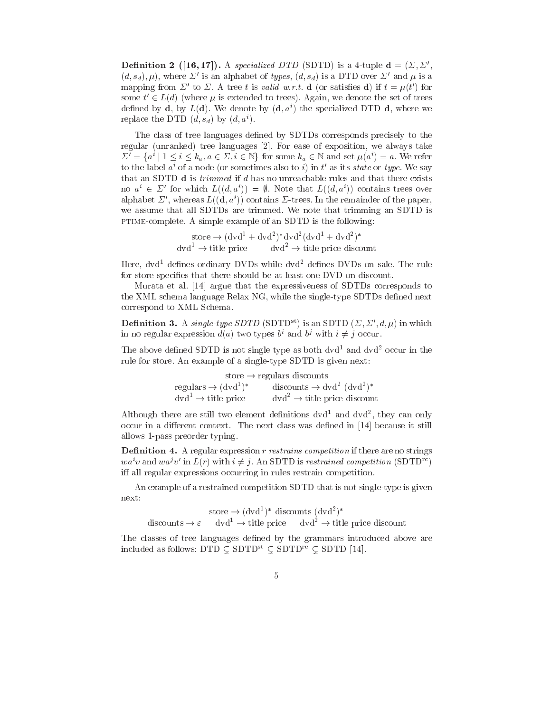**Definition 2** ([16,17]). A specialized DTD (SDTD) is a 4-tuple  $\mathbf{d} = (\Sigma, \Sigma',$  $(d, s_d), \mu$ , where  $\Sigma'$  is an alphabet of types,  $(d, s_d)$  is a DTD over  $\Sigma'$  and  $\mu$  is a mapping from  $\Sigma'$  to  $\Sigma$ . A tree t is valid w.r.t. **d** (or satisfies **d**) if  $t = \mu(t')$  for some  $t' \in L(d)$  (where  $\mu$  is extended to trees). Again, we denote the set of trees defined by **d**, by  $L(\mathbf{d})$ . We denote by  $(\mathbf{d}, a^i)$  the specialized DTD **d**, where we replace the DTD  $(d, s_d)$  by  $(d, a^i)$ .

The class of tree languages defined by SDTDs corresponds precisely to the regular (unranked) tree languages [2]. For ease of exposition, we always take  $\Sigma' = \{a^i \mid 1 \leq i \leq k_a, a \in \Sigma, i \in \mathbb{N}\}\$  for some  $k_a \in \mathbb{N}$  and set  $\mu(a^i) = a$ . We refer to the label  $a^i$  of a node (or sometimes also to i) in t' as its state or type. We say that an SDTD d is *trimmed* if d has no unreachable rules and that there exists no  $a^i \in \Sigma'$  for which  $L((d, a^i)) = \emptyset$ . Note that  $L((d, a^i))$  contains trees over alphabet  $\Sigma'$ , whereas  $L((\mathbf{d}, a^i))$  contains  $\Sigma$ -trees. In the remainder of the paper, we assume that all SDTDs are trimmed. We note that trimming an SDTD is PTIME-complete. A simple example of an SDTD is the following:

> store  $\rightarrow (dvd^1 + dvd^2)^*dvd^2(dvd^1 + dvd^2)^*$  $dvd^{1} \rightarrow$  title price  $dvd^{2} \rightarrow$  title price discount

Here, dvd<sup>1</sup> defines ordinary DVDs while dvd<sup>2</sup> defines DVDs on sale. The rule for store specifies that there should be at least one DVD on discount.

Murata et al. [14] argue that the expressiveness of SDTDs corresponds to the XML schema language Relax NG, while the single-type SDTDs defined next correspond to XML Schema.

**Definition 3.** A single-type SDTD (SDTD<sup>st</sup>) is an SDTD ( $\Sigma$ ,  $\Sigma'$ ,  $d$ ,  $\mu$ ) in which in no regular expression  $d(a)$  two types  $b^i$  and  $b^j$  with  $i \neq j$  occur.

The above defined SDTD is not single type as both  $dvd^1$  and  $dvd^2$  occur in the rule for store. An example of a single-type SDTD is given next:

> store  $\rightarrow$  regulars discounts regulars  $\rightarrow$  (dvd<sup>1</sup>)<sup>\*</sup> discounts  $\rightarrow$  dvd<sup>2</sup> (dvd<sup>2</sup>)<sup>\*</sup><br>dvd<sup>1</sup>  $\rightarrow$  title price dvd<sup>2</sup>  $\rightarrow$  title price discount

Although there are still two element definitions  $dvd^1$  and  $dvd^2$ , they can only occur in a different context. The next class was defined in [14] because it still allows 1-pass preorder typing.

**Definition 4.** A regular expression r restrains competition if there are no strings  $wa^i v$  and  $wa^j v'$  in  $L(r)$  with  $i \neq j$ . An SDTD is restrained competition (SDTD<sup>rc</sup>) iff all regular expressions occurring in rules restrain competition.

An example of a restrained competition SDTD that is not single-type is given next:

 $\text{store} \to (\text{dvd}^1)^* \text{ discounts } (\text{dvd}^2)^*$ <br>discounts  $\to \varepsilon$  dvd<sup>1</sup>  $\to$  title price dvd<sup>2</sup>  $\to$  title price discount

The classes of tree languages defined by the grammars introduced above are included as follows: DTD  $\subsetneq$  SDTD<sup>st</sup>  $\subsetneq$  SDTD<sup>rc</sup>  $\subsetneq$  SDTD [14].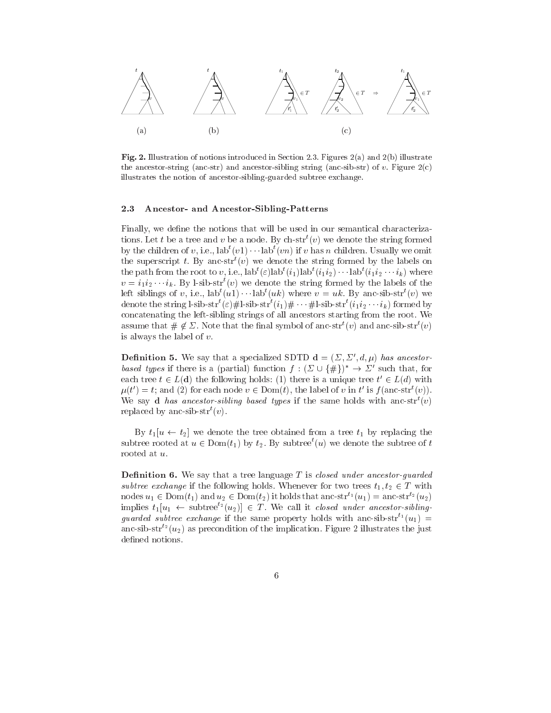

Fig. 2. Illustration of notions introduced in Section 2.3. Figures 2(a) and 2(b) illustrate the ancestor-string (anc-str) and ancestor-sibling string (anc-sib-str) of v. Figure  $2(c)$ illustrates the notion of ancestor-sibling-guarded subtree exchange.

#### Ancestor- and Ancestor-Sibling-Patterns  $2.3\,$

Finally, we define the notions that will be used in our semantical characterizations. Let t be a tree and v be a node. By ch-str<sup>t</sup>(v) we denote the string formed by the children of v, i.e.,  $\text{lab}^{t}(v1) \cdots \text{lab}^{t}(vn)$  if v has n children. Usually we omit the superscript t. By anc-str<sup>t</sup> $(v)$  we denote the string formed by the labels on the path from the root to v, i.e.,  $\mathrm{lab}^{t}(\varepsilon)\mathrm{lab}^{t}(i_{1})\mathrm{lab}^{t}(i_{1}i_{2})\cdots\mathrm{lab}^{t}(i_{1}i_{2}\cdots i_{k})$  where  $v = i_1 i_2 \cdots i_k$ . By l-sib-str<sup>t</sup>(v) we denote the string formed by the labels of the left siblings of v, i.e.,  $\mathrm{lab}^{t}(u_1)\cdots \mathrm{lab}^{t}(uk)$  where  $v = uk$ . By anc-sib-str<sup>t</sup>(v) we denote the string l-sib-str<sup>t</sup> $(\varepsilon)$  #l-sib-str<sup>t</sup> $(i_1)$  #  $\cdots$  #l-sib-str<sup>t</sup> $(i_1i_2\cdots i_k)$  formed by concatenating the left-sibling strings of all ancestors starting from the root. We assume that  $\#\notin \Sigma$ . Note that the final symbol of anc-str<sup>t</sup>(v) and anc-sib-str<sup>t</sup>(v) is always the label of  $v$ .

**Definition 5.** We say that a specialized SDTD  $\mathbf{d} = (\Sigma, \Sigma', d, \mu)$  has ancestorbased types if there is a (partial) function  $f: (\Sigma \cup \{\#\})^* \to \Sigma'$  such that, for each tree  $t \in L(d)$  the following holds: (1) there is a unique tree  $t' \in L(d)$  with  $\mu(t') = t$ ; and (2) for each node  $v \in \text{Dom}(t)$ , the label of v in t' is  $f(\text{anc-str}^t(v))$ . We say **d** has ancestor-sibling based types if the same holds with anc-str<sup>t</sup>(v) replaced by anc-sib-str<sup> $t$ </sup>(*v*).

By  $t_1[u \leftarrow t_2]$  we denote the tree obtained from a tree  $t_1$  by replacing the subtree rooted at  $u \in \text{Dom}(t_1)$  by  $t_2$ . By subtree<sup>t</sup>(u) we denote the subtree of t rooted at  $u$ .

**Definition 6.** We say that a tree language  $T$  is closed under ancestor-guarded subtree exchange if the following holds. Whenever for two trees  $t_1, t_2 \in T$  with nodes  $u_1 \in \text{Dom}(t_1)$  and  $u_2 \in \text{Dom}(t_2)$  it holds that anc-str<sup>t<sub>1</sub></sup> $(u_1) = \text{anc-str}^{t_2}(u_2)$ implies  $t_1[u_1 \leftarrow \text{subtree}^{t_2}(u_2)] \in T$ . We call it *closed under ancestor-siblingguarded subtree exchange* if the same property holds with anc-sib-str<sup>t<sub>1</sub></sup>( $u_1$ ) = anc-sib-str<sup>t<sub>2</sub></sup>( $u_2$ ) as precondition of the implication. Figure 2 illustrates the just defined notions.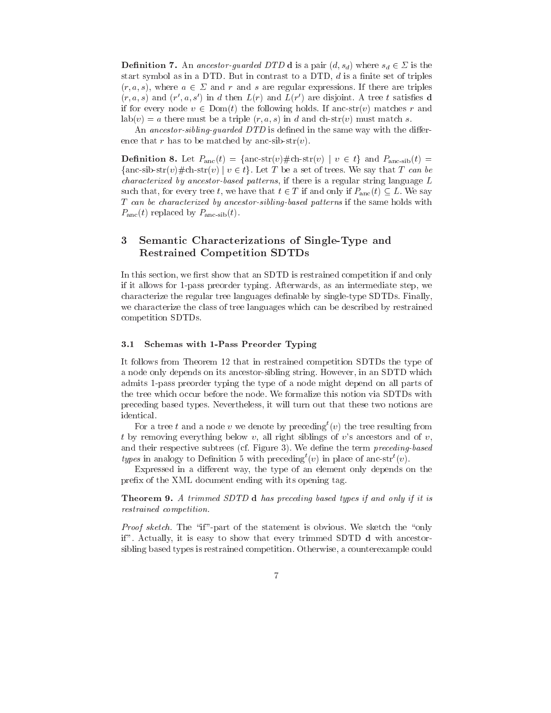**Definition 7.** An ancestor-guarded DTD d is a pair  $(d, s_d)$  where  $s_d \in \Sigma$  is the start symbol as in a DTD. But in contrast to a DTD,  $d$  is a finite set of triples  $(r, a, s)$ , where  $a \in \Sigma$  and r and s are regular expressions. If there are triples  $(r, a, s)$  and  $(r', a, s')$  in d then  $L(r)$  and  $L(r')$  are disjoint. A tree t satisfies d if for every node  $v \in Dom(t)$  the following holds. If anc-str(v) matches r and  $lab(v) = a$  there must be a triple  $(r, a, s)$  in d and ch-str(v) must match s.

An ancestor-sibling-quarded DTD is defined in the same way with the difference that r has to be matched by anc-sib-str(v).

**Definition 8.** Let  $P_{\text{anc}}(t) = {\text{anc-str}(v) \# \text{ch-str}(v) \mid v \in t}$  and  $P_{\text{anc-sib}}(t) =$  $\{\text{anc-sib-str}(v)\# \text{ch-str}(v) \mid v \in t\}.$  Let T be a set of trees. We say that T can be *characterized by ancestor-based patterns*, if there is a regular string language L such that, for every tree t, we have that  $t \in T$  if and only if  $P_{\text{anc}}(t) \subseteq L$ . We say T can be characterized by ancestor-sibling-based patterns if the same holds with  $P_{\text{anc}}(t)$  replaced by  $P_{\text{anc-sib}}(t)$ .

### Semantic Characterizations of Single-Type and 3 **Restrained Competition SDTDs**

In this section, we first show that an SDTD is restrained competition if and only if it allows for 1-pass preorder typing. Afterwards, as an intermediate step, we characterize the regular tree languages definable by single-type SDTDs. Finally, we characterize the class of tree languages which can be described by restrained competition SDTDs.

#### $3.1$ Schemas with 1-Pass Preorder Typing

It follows from Theorem 12 that in restrained competition SDTDs the type of a node only depends on its ancestor-sibling string. However, in an SDTD which admits 1-pass preorder typing the type of a node might depend on all parts of the tree which occur before the node. We formalize this notion via SDTDs with preceding based types. Nevertheless, it will turn out that these two notions are identical.

For a tree t and a node v we denote by preceding  $f(v)$  the tree resulting from t by removing everything below v, all right siblings of v's ancestors and of v, and their respective subtrees (cf. Figure 3). We define the term preceding-based *types* in analogy to Definition 5 with preceding<sup>t</sup>(v) in place of anc-str<sup>t</sup>(v).

Expressed in a different way, the type of an element only depends on the prefix of the XML document ending with its opening tag.

**Theorem 9.** A trimmed SDTD **d** has preceding based types if and only if it is restrained competition.

*Proof sketch.* The "if"-part of the statement is obvious. We sketch the "only if". Actually, it is easy to show that every trimmed SDTD d with ancestorsibling based types is restrained competition. Otherwise, a counterexample could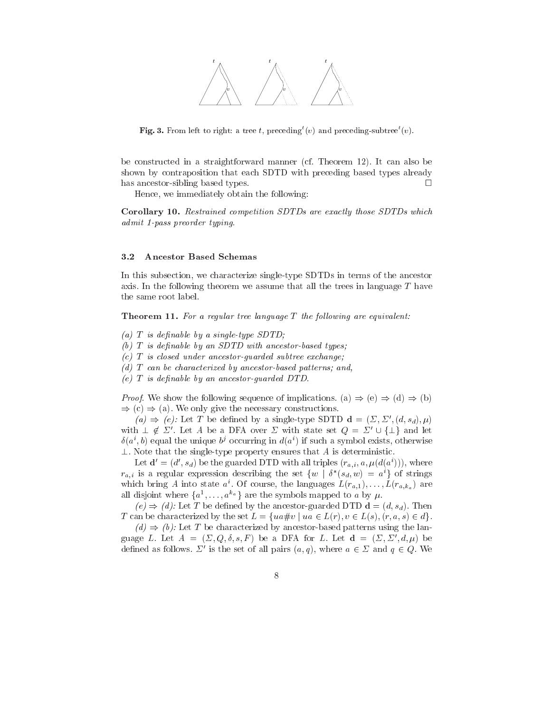

**Fig. 3.** From left to right: a tree t, preceding  $v$  and preceding-subtree  $v(v)$ .

be constructed in a straightforward manner (cf. Theorem 12). It can also be shown by contraposition that each SDTD with preceding based types already has ancestor-sibling based types.  $\Box$ 

Hence, we immediately obtain the following:

**Corollary 10.** Restrained competition SDTDs are exactly those SDTDs which admit 1-pass preorder typing.

#### $3.2$ **Ancestor Based Schemas**

In this subsection, we characterize single-type SDTDs in terms of the ancestor axis. In the following theorem we assume that all the trees in language  $T$  have the same root label.

**Theorem 11.** For a regular tree language  $T$  the following are equivalent:

- (a) T is definable by a single-type SDTD;
- (b)  $T$  is definable by an SDTD with ancestor-based types;
- $(c)$  T is closed under ancestor-guarded subtree exchange;
- (d)  $T$  can be characterized by ancestor-based patterns; and,
- (e)  $T$  is definable by an ancestor-guarded DTD.

*Proof.* We show the following sequence of implications. (a)  $\Rightarrow$  (e)  $\Rightarrow$  (d)  $\Rightarrow$  (b)  $\Rightarrow$  (c)  $\Rightarrow$  (a). We only give the necessary constructions.

 $(a) \Rightarrow (e)$ : Let T be defined by a single-type SDTD  $\mathbf{d} = (\Sigma, \Sigma', (d, s_d), \mu)$ with  $\perp \notin \Sigma'$ . Let A be a DFA over  $\Sigma$  with state set  $Q = \Sigma' \cup {\perp}$  and let  $\delta(a^i, b)$  equal the unique  $b^j$  occurring in  $d(a^i)$  if such a symbol exists, otherwise  $\perp$ . Note that the single-type property ensures that A is deterministic.

Let  $\mathbf{d}' = (d', s_d)$  be the guarded DTD with all triples  $(r_{a,i}, a, \mu(d(a^i)))$ , where  $r_{a,i}$  is a regular expression describing the set  $\{w \mid \delta^*(s_d, w) = a^i\}$  of strings which bring A into state  $a^i$ . Of course, the languages  $L(r_{a,1}), \ldots, L(r_{a,k_a})$  are all disjoint where  $\{a^1, \ldots, a^{k_a}\}\$  are the symbols mapped to a by  $\mu$ .

 $(e) \Rightarrow (d)$ : Let T be defined by the ancestor-guarded DTD  $\mathbf{d} = (d, s_d)$ . Then T can be characterized by the set  $L = \{ua\#v \mid ua \in L(r), v \in L(s), (r, a, s) \in d\}.$ 

 $(d) \Rightarrow (b)$ : Let T be characterized by ancestor-based patterns using the language L. Let  $A = (\Sigma, Q, \delta, s, F)$  be a DFA for L. Let  $\mathbf{d} = (\Sigma, \Sigma', d, \mu)$  be defined as follows.  $\Sigma'$  is the set of all pairs  $(a, q)$ , where  $a \in \Sigma$  and  $q \in Q$ . We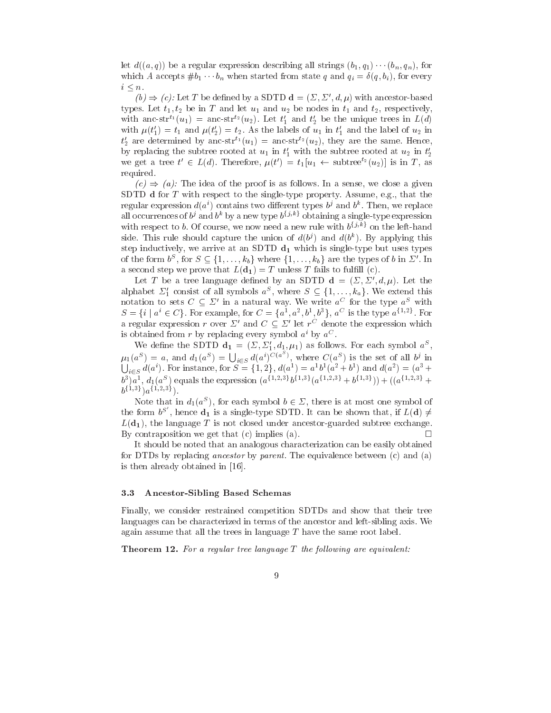let  $d((a,q))$  be a regular expression describing all strings  $(b_1, q_1) \cdots (b_n, q_n)$ , for which A accepts  $\#b_1 \cdots b_n$  when started from state q and  $q_i = \delta(q, b_i)$ , for every  $i \leq n$ .

 $(b) \Rightarrow (c)$ : Let T be defined by a SDTD  $\mathbf{d} = (\Sigma, \Sigma', d, \mu)$  with ancestor-based types. Let  $t_1, t_2$  be in T and let  $u_1$  and  $u_2$  be nodes in  $t_1$  and  $t_2$ , respectively, with anc-str<sup>t<sub>1</sub></sup>( $u_1$ ) = anc-str<sup>t<sub>2</sub></sup>( $u_2$ ). Let  $t'_1$  and  $t'_2$  be the unique trees in  $L(d)$ with  $\mu(t'_1) = t_1$  and  $\mu(t'_2) = t_2$ . As the labels of  $u_1$  in  $t'_1$  and the label of  $u_2$  in  $t'_2$  are determined by anc-str<sup>t<sub>1</sub></sup>( $u_1$ ) = anc-str<sup>t<sub>2</sub></sup>( $u_2$ ), they are the same. Hence, by replacing the subtree rooted at  $u_1$  in  $t'_1$  with the subtree rooted at  $u_2$  in  $t'_2$ we get a tree  $t' \in L(d)$ . Therefore,  $\mu(t') = t_1[u_1 \leftarrow \text{subtree}^{t_2}(u_2)]$  is in T, as required.

 $(c) \Rightarrow (a)$ : The idea of the proof is as follows. In a sense, we close a given SDTD d for T with respect to the single-type property. Assume, e.g., that the regular expression  $d(a^i)$  contains two different types  $b^j$  and  $b^k$ . Then, we replace all occurrences of  $b^j$  and  $b^k$  by a new type  $b^{\{j,k\}}$  obtaining a single-type expression with respect to b. Of course, we now need a new rule with  $b^{\{j,k\}}$  on the left-hand side. This rule should capture the union of  $d(b^j)$  and  $d(b^k)$ . By applying this step inductively, we arrive at an SDTD  $d_1$  which is single-type but uses types of the form  $b^S$ , for  $S \subseteq \{1, ..., k_b\}$  where  $\{1, ..., k_b\}$  are the types of b in  $\Sigma'$ . In a second step we prove that  $L(\mathbf{d}_1) = T$  unless T fails to fulfill (c).

Let T be a tree language defined by an SDTD  $\mathbf{d} = (\Sigma, \Sigma', d, \mu)$ . Let the alphabet  $\Sigma'_1$  consist of all symbols  $a^S$ , where  $S \subseteq \{1, ..., k_a\}$ . We extend this notation to sets  $C \subseteq \Sigma'$  in a natural way. We write  $a^C$  for the type  $a^S$  with  $S = \{i \mid a^i \in C\}$ . For example, for  $C = \{a^1, a^2, b^1, b^3\}$ ,  $a^C$  is the type  $a^{\{1,2\}}$ . For a regular expression r over  $\Sigma'$  and  $C \subseteq \Sigma'$  let  $r^C$  denote the expression which is obtained from r by replacing every symbol  $a^i$  by  $a^C$ .

We define the SDTD  $\mathbf{d_1} = (\Sigma, \Sigma_1', d_1, \mu_1)$  as follows. For each symbol  $a^S$ ,  $\mu_1(a^S) = a$ , and  $d_1(a^S) = \bigcup_{i \in S} d(a^i)^{C(a^S)}$ , where  $C(a^S)$  is the set of all  $b^j$  in  $\bigcup_{i \in S} d(a^i)$ . For instance, for  $S = \{1, 2\}$  $(b^3)\overline{a}^1$ ,  $d_1(a^5)$  equals the expression  $(a^{\{1,2,3\}}b^{\{1,3\}}(a^{\{1,2,3\}}+b^{\{1,3\}})) + ((a^{\{1,2,3\}}+b^{\{1,3\}}))$  $b^{\{1,3\}}$ ) $a^{\{1,2,3\}}$ ).

Note that in  $d_1(a^S)$ , for each symbol  $b \in \Sigma$ , there is at most one symbol of the form  $b^{S'}$ , hence  $\mathbf{d}_1$  is a single-type SDTD. It can be shown that, if  $L(\mathbf{d}) \neq$  $L(\mathbf{d}_1)$ , the language T is not closed under ancestor-guarded subtree exchange. By contraposition we get that  $(c)$  implies  $(a)$ .  $\Box$ 

It should be noted that an analogous characterization can be easily obtained for DTDs by replacing ancestor by parent. The equivalence between (c) and (a) is then already obtained in [16].

#### **Ancestor-Sibling Based Schemas** 3.3

Finally, we consider restrained competition SDTDs and show that their tree languages can be characterized in terms of the ancestor and left-sibling axis. We again assume that all the trees in language  $T$  have the same root label.

**Theorem 12.** For a regular tree language  $T$  the following are equivalent: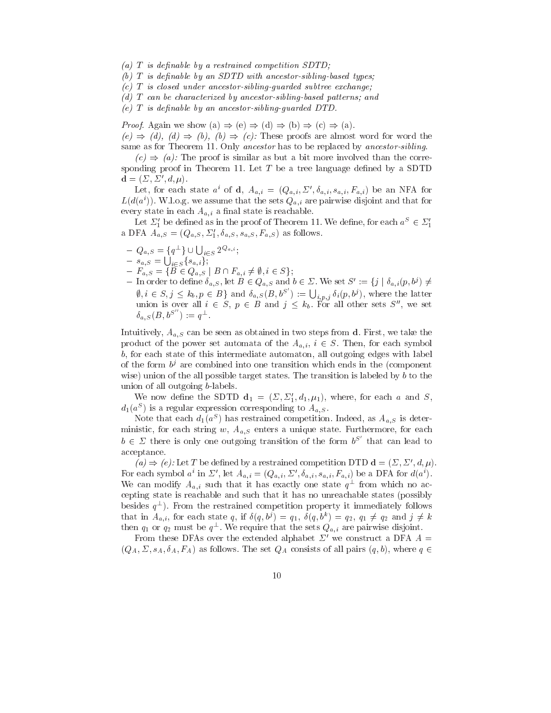- (a)  $T$  is definable by a restrained competition SDTD;
- (b)  $T$  is definable by an SDTD with ancestor-sibling-based types;
- $(c)$  T is closed under ancestor-sibling-guarded subtree exchange;
- (d)  $T$  can be characterized by ancestor-sibling-based patterns; and
- (e)  $T$  is definable by an ancestor-sibling-guarded DTD.

*Proof.* Again we show (a)  $\Rightarrow$  (e)  $\Rightarrow$  (d)  $\Rightarrow$  (b)  $\Rightarrow$  (c)  $\Rightarrow$  (a).  $(e) \Rightarrow (d), (d) \Rightarrow (b), (b) \Rightarrow (c)$ : These proofs are almost word for word the same as for Theorem 11. Only ancestor has to be replaced by ancestor-sibling.

 $(c) \Rightarrow (a)$ : The proof is similar as but a bit more involved than the corresponding proof in Theorem 11. Let  $T$  be a tree language defined by a SDTD  $\mathbf{d} = (\Sigma, \Sigma', d, \mu).$ 

Let, for each state  $a^i$  of **d**,  $A_{a,i} = (Q_{a,i}, \Sigma', \delta_{a,i}, s_{a,i}, F_{a,i})$  be an NFA for  $L(d(a^i))$ . W.l.o.g. we assume that the sets  $Q_{a,i}$  are pairwise disjoint and that for every state in each  $A_{a,i}$  a final state is reachable.

Let  $\Sigma'_1$  be defined as in the proof of Theorem 11. We define, for each  $a^S \in \Sigma'_1$ a DFA  $A_{a,S} = (Q_{a,S}, \Sigma'_1, \delta_{a,S}, s_{a,S}, F_{a,S})$  as follows.

- $\begin{array}{l} { Q_{a,S} = \{ q^\perp \} \cup \bigcup_{i \in S} 2^{Q_{a,i}}; \\ { s_{a,S} = \bigcup_{i \in S} \{ s_{a,i} \} }; \\ { F_{a,S} = \{ B \in Q_{a,S} \mid B \cap F_{a,i} \neq \emptyset, i \in S \} }; \\ \end{array}$
- 
- In order to define  $\delta_{a,S}$ , let  $B \in Q_{a,S}$  and  $b \in \Sigma$ . We set  $S' := \{j \mid \delta_{a,i}(p,b^j) \neq b^j\}$  $\emptyset, i \in S, j \leq k_b, p \in B$  and  $\delta_{a,S}(B, b^{S'}) := \bigcup_{i,p,j} \delta_i(p, b^j)$ , where the latter union is over all  $i \in S, p \in B$  and  $j \leq k_b$ . For all other sets S'', we set  $\delta_{a,S}(B,b^{S''}) := q^{\perp}.$

Intuitively,  $A_{a,S}$  can be seen as obtained in two steps from **d**. First, we take the product of the power set automata of the  $A_{a,i}$ ,  $i \in S$ . Then, for each symbol b, for each state of this intermediate automaton, all outgoing edges with label of the form  $b^j$  are combined into one transition which ends in the (component wise) union of the all possible target states. The transition is labeled by  $b$  to the union of all outgoing b-labels.

We now define the SDTD  $\mathbf{d}_1 = (\Sigma, \Sigma_1', d_1, \mu_1)$ , where, for each a and S,  $d_1(a^S)$  is a regular expression corresponding to  $A_{a,S}$ .

Note that each  $d_1(a^S)$  has restrained competition. Indeed, as  $A_{a,S}$  is deterministic, for each string  $w$ ,  $A_{a,S}$  enters a unique state. Furthermore, for each  $b \in \Sigma$  there is only one outgoing transition of the form  $b^{S'}$  that can lead to acceptance.

 $(a) \Rightarrow (e)$ : Let T be defined by a restrained competition DTD  $\mathbf{d} = (\Sigma, \Sigma', d, \mu)$ For each symbol  $a^i$  in  $\Sigma'$ , let  $A_{a,i} = (Q_{a,i}, \Sigma', \delta_{a,i}, s_{a,i}, F_{a,i})$  be a DFA for  $d(a^i)$ . We can modify  $A_{a,i}$  such that it has exactly one state  $q^{\perp}$  from which no accepting state is reachable and such that it has no unreachable states (possibly besides  $q^{\perp}$ ). From the restrained competition property it immediately follows that in  $A_{a,i}$ , for each state q, if  $\delta(q,b^j) = q_1$ ,  $\delta(q,b^k) = q_2$ ,  $q_1 \neq q_2$  and  $j \neq k$ then  $q_1$  or  $q_2$  must be  $q^{\perp}$ . We require that the sets  $Q_{a,i}$  are pairwise disjoint.

From these DFAs over the extended alphabet  $\Sigma'$  we construct a DFA  $A =$  $(Q_A, \Sigma, s_A, \delta_A, F_A)$  as follows. The set  $Q_A$  consists of all pairs  $(q, b)$ , where  $q \in$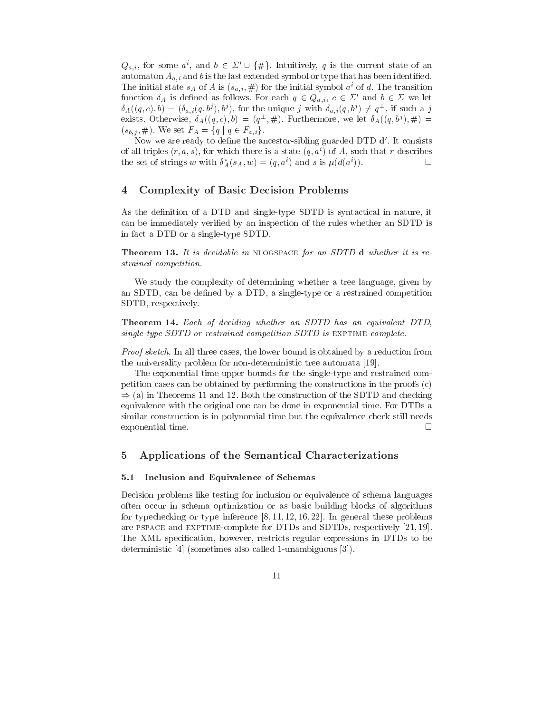$Q_{a,i}$ , for some  $a^i$ , and  $b \in \Sigma' \cup \{\#\}$ . Intuitively, q is the current state of an automaton  $A_{a,i}$  and b is the last extended symbol or type that has been identified. The initial state  $s_A$  of A is  $(s_{a,i}, \#)$  for the initial symbol  $a^i$  of d. The transition function  $\delta_A$  is defined as follows. For each  $q \in Q_{a,i}$ ,  $c \in \Sigma'$  and  $b \in \Sigma$  we let  $\delta_A((q,c),b)=(\delta_{a,i}(q,b^j),b^j)$ , for the unique j with  $\delta_{a,i}(q,b^j)\neq q^{\perp}$ , if such a j exists. Otherwise,  $\delta_A((q, c), b) = (q^{\perp}, \#)$ . Furthermore, we let  $\delta_A((q, b^j), \#) =$  $(s_{b,j}, \#)$ . We set  $F_A = \{q \mid q \in F_{a,i}\}.$ 

Now we are ready to define the ancestor-sibling guarded DTD d'. It consists of all triples  $(r, a, s)$ , for which there is a state  $(q, a^i)$  of A, such that r describes the set of strings w with  $\delta_A^*(s_A, w) = (q, a^i)$  and s is  $\mu(d(a^i))$ .  $\Box$ 

#### **Complexity of Basic Decision Problems**  $\overline{\mathbf{4}}$

As the definition of a DTD and single-type SDTD is syntactical in nature, it can be immediately verified by an inspection of the rules whether an SDTD is in fact a DTD or a single-type SDTD.

Theorem 13. It is decidable in NLOGSPACE for an SDTD d whether it is restrained competition.

We study the complexity of determining whether a tree language, given by an SDTD, can be defined by a DTD, a single-type or a restrained competition SDTD, respectively.

Theorem 14. Each of deciding whether an SDTD has an equivalent DTD, single-type SDTD or restrained competition SDTD is  $EXPTIME-complete$ .

*Proof sketch.* In all three cases, the lower bound is obtained by a reduction from the universality problem for non-deterministic tree automata [19].

The exponential time upper bounds for the single-type and restrained competition cases can be obtained by performing the constructions in the proofs (c)  $\Rightarrow$  (a) in Theorems 11 and 12. Both the construction of the SDTD and checking equivalence with the original one can be done in exponential time. For DTDs a similar construction is in polynomial time but the equivalence check still needs exponential time.  $\Box$ 

#### $\overline{5}$ Applications of the Semantical Characterizations

#### $5.1$ Inclusion and Equivalence of Schemas

Decision problems like testing for inclusion or equivalence of schema languages often occur in schema optimization or as basic building blocks of algorithms for typechecking or type inference  $[8, 11, 12, 16, 22]$ . In general these problems are PSPACE and EXPTIME-complete for DTDs and SDTDs, respectively  $[21, 19]$ . The XML specification, however, restricts regular expressions in DTDs to be deterministic [4] (sometimes also called 1-unambiguous [3]).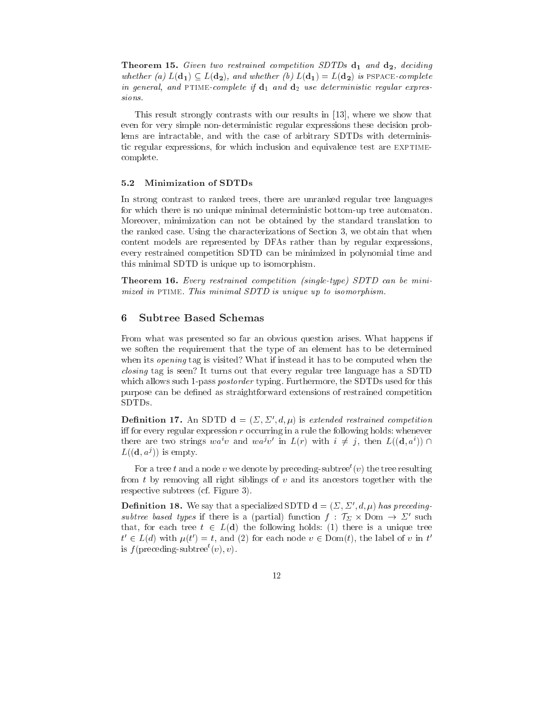**Theorem 15.** Given two restrained competition SDTDs  $\mathbf{d}_1$  and  $\mathbf{d}_2$ , deciding whether (a)  $L(\mathbf{d_1}) \subseteq L(\mathbf{d_2})$ , and whether (b)  $L(\mathbf{d_1}) = L(\mathbf{d_2})$  is PSPACE-complete in general, and PTIME-complete if  $\mathbf{d}_1$  and  $\mathbf{d}_2$  use deterministic regular expressions.

This result strongly contrasts with our results in [13], where we show that even for very simple non-deterministic regular expressions these decision problems are intractable, and with the case of arbitrary SDTDs with deterministic regular expressions, for which inclusion and equivalence test are EXPTIMEcomplete.

#### $5.2$ Minimization of SDTDs

In strong contrast to ranked trees, there are unranked regular tree languages for which there is no unique minimal deterministic bottom-up tree automaton. Moreover, minimization can not be obtained by the standard translation to the ranked case. Using the characterizations of Section 3, we obtain that when content models are represented by DFAs rather than by regular expressions, every restrained competition SDTD can be minimized in polynomial time and this minimal SDTD is unique up to isomorphism.

**Theorem 16.** Every restrained competition (single-type) SDTD can be minimized in PTIME. This minimal SDTD is unique up to isomorphism.

#### **Subtree Based Schemas** 6

From what was presented so far an obvious question arises. What happens if we soften the requirement that the type of an element has to be determined when its *opening* tag is visited? What if instead it has to be computed when the *closing* tag is seen? It turns out that every regular tree language has a SDTD which allows such 1-pass *postorder* typing. Furthermore, the SDTDs used for this purpose can be defined as straightforward extensions of restrained competition SDTDs.

**Definition 17.** An SDTD  $\mathbf{d} = (\Sigma, \Sigma', d, \mu)$  is extended restrained competition iff for every regular expression  $r$  occurring in a rule the following holds: whenever there are two strings  $w a^i v$  and  $w a^j v'$  in  $L(r)$  with  $i \neq j$ , then  $L((\mathbf{d}, a^i)) \cap$  $L((\mathbf{d},a^j))$  is empty.

For a tree t and a node v we denote by preceding-subtree<sup>t</sup> $(v)$  the tree resulting from  $t$  by removing all right siblings of  $v$  and its ancestors together with the respective subtrees (cf. Figure 3).

**Definition 18.** We say that a specialized SDTD  $\mathbf{d} = (\Sigma, \Sigma', d, \mu)$  has precedingsubtree based types if there is a (partial) function  $f : \mathcal{T}_{\Sigma} \times \text{Dom} \to \Sigma'$  such that, for each tree  $t \in L(d)$  the following holds: (1) there is a unique tree  $t' \in L(d)$  with  $\mu(t') = t$ , and (2) for each node  $v \in Dom(t)$ , the label of v in t' is  $f(\text{preceding-subtree}^t(v), v)$ .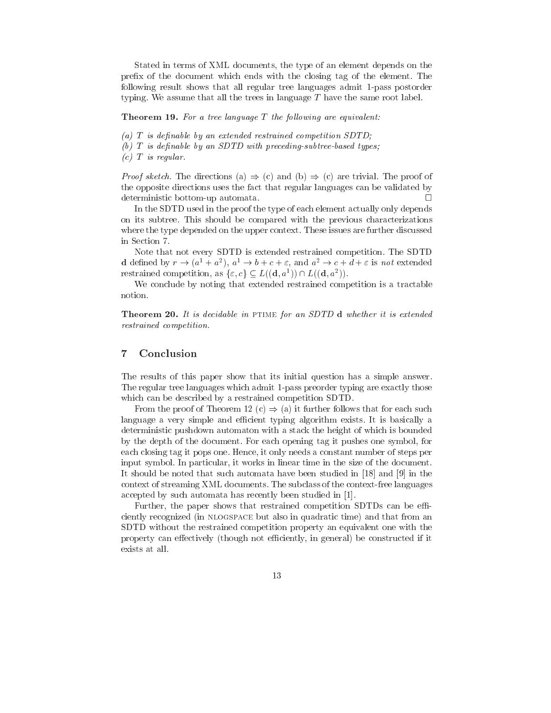Stated in terms of XML documents, the type of an element depends on the prefix of the document which ends with the closing tag of the element. The following result shows that all regular tree languages admit 1-pass postorder typing. We assume that all the trees in language  $T$  have the same root label.

**Theorem 19.** For a tree language  $T$  the following are equivalent:

- (a)  $T$  is definable by an extended restrained competition SDTD;
- $(b)$  T is definable by an SDTD with preceding-subtree-based types;
- $(c)$  T is regular.

*Proof sketch.* The directions (a)  $\Rightarrow$  (c) and (b)  $\Rightarrow$  (c) are trivial. The proof of the opposite directions uses the fact that regular languages can be validated by deterministic bottom-up automata.  $\Box$ 

In the SDTD used in the proof the type of each element actually only depends on its subtree. This should be compared with the previous characterizations where the type depended on the upper context. These issues are further discussed in Section 7.

Note that not every SDTD is extended restrained competition. The SDTD **d** defined by  $r \to (a^1 + a^2)$ ,  $a^1 \to b + c + \varepsilon$ , and  $a^2 \to c + d + \varepsilon$  is not extended restrained competition, as  $\{\varepsilon, c\} \subseteq L((\mathbf{d}, a^1)) \cap L((\mathbf{d}, a^2)).$ 

We conclude by noting that extended restrained competition is a tractable notion.

**Theorem 20.** It is decidable in PTIME for an SDTD d whether it is extended restrained competition.

#### $\overline{7}$ Conclusion

The results of this paper show that its initial question has a simple answer. The regular tree languages which admit 1-pass preorder typing are exactly those which can be described by a restrained competition SDTD.

From the proof of Theorem 12 (c)  $\Rightarrow$  (a) it further follows that for each such language a very simple and efficient typing algorithm exists. It is basically a deterministic pushdown automaton with a stack the height of which is bounded by the depth of the document. For each opening tag it pushes one symbol, for each closing tag it pops one. Hence, it only needs a constant number of steps per input symbol. In particular, it works in linear time in the size of the document. It should be noted that such automata have been studied in [18] and [9] in the context of streaming XML documents. The subclass of the context-free languages accepted by such automata has recently been studied in [1].

Further, the paper shows that restrained competition SDTDs can be efficiently recognized (in NLOGSPACE but also in quadratic time) and that from an SDTD without the restrained competition property an equivalent one with the property can effectively (though not efficiently, in general) be constructed if it exists at all.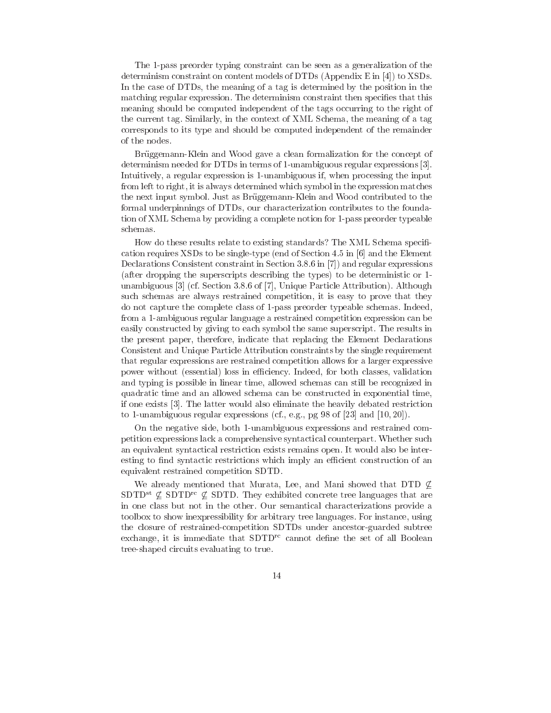The 1-pass preorder typing constraint can be seen as a generalization of the determinism constraint on content models of DTDs (Appendix E in [4]) to XSDs. In the case of DTDs, the meaning of a tag is determined by the position in the matching regular expression. The determinism constraint then specifies that this meaning should be computed independent of the tags occurring to the right of the current tag. Similarly, in the context of XML Schema, the meaning of a tag corresponds to its type and should be computed independent of the remainder of the nodes.

Brüggemann-Klein and Wood gave a clean formalization for the concept of determinism needed for DTDs in terms of 1-unambiguous regular expressions [3]. Intuitively, a regular expression is 1-unambiguous if, when processing the input from left to right, it is always determined which symbol in the expression matches the next input symbol. Just as Brüggemann-Klein and Wood contributed to the formal underpinnings of DTDs, our characterization contributes to the foundation of XML Schema by providing a complete notion for 1-pass preorder typeable schemas.

How do these results relate to existing standards? The XML Schema specification requires XSDs to be single-type (end of Section 4.5 in [6] and the Element Declarations Consistent constraint in Section 3.8.6 in [7]) and regular expressions (after dropping the superscripts describing the types) to be deterministic or 1unambiguous [3] (cf. Section 3.8.6 of [7], Unique Particle Attribution). Although such schemas are always restrained competition, it is easy to prove that they do not capture the complete class of 1-pass preorder typeable schemas. Indeed, from a 1-ambiguous regular language a restrained competition expression can be easily constructed by giving to each symbol the same superscript. The results in the present paper, therefore, indicate that replacing the Element Declarations Consistent and Unique Particle Attribution constraints by the single requirement that regular expressions are restrained competition allows for a larger expressive power without (essential) loss in efficiency. Indeed, for both classes, validation and typing is possible in linear time, allowed schemas can still be recognized in quadratic time and an allowed schema can be constructed in exponential time, if one exists [3]. The latter would also eliminate the heavily debated restriction to 1-unambiguous regular expressions (cf., e.g., pg 98 of  $[23]$  and  $[10, 20]$ ).

On the negative side, both 1-unambiguous expressions and restrained competition expressions lack a comprehensive syntactical counterpart. Whether such an equivalent syntactical restriction exists remains open. It would also be interesting to find syntactic restrictions which imply an efficient construction of an equivalent restrained competition SDTD.

We already mentioned that Murata, Lee, and Mani showed that DTD  $\varphi$ SDTD<sup>st</sup>  $\not\subseteq$  SDTD<sup>rc</sup>  $\not\subseteq$  SDTD. They exhibited concrete tree languages that are in one class but not in the other. Our semantical characterizations provide a toolbox to show inexpressibility for arbitrary tree languages. For instance, using the closure of restrained-competition SDTDs under ancestor-guarded subtree exchange, it is immediate that SDTD<sup>rc</sup> cannot define the set of all Boolean tree-shaped circuits evaluating to true.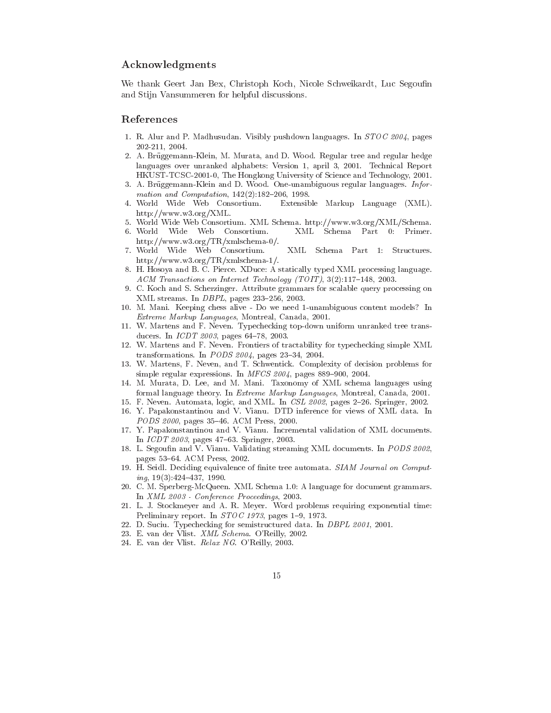### Acknowledgments

We thank Geert Jan Bex, Christoph Koch, Nicole Schweikardt, Luc Segoufin and Stijn Vansummeren for helpful discussions.

### References

- 1. R. Alur and P. Madhusudan. Visibly pushdown languages. In STOC 2004, pages 202-211, 2004.
- 2. A. Brüggemann-Klein, M. Murata, and D. Wood. Regular tree and regular hedge languages over unranked alphabets: Version 1, april 3, 2001. Technical Report HKUST-TCSC-2001-0, The Hongkong University of Science and Technology, 2001.
- 3. A. Brüggemann-Klein and D. Wood. One-unambiguous regular languages. Information and Computation,  $142(2)$ :182-206, 1998.
- 4. World Wide Web Consortium. Extensible Markup Language (XML).  $http://www.w3.org/XML.$
- 5. World Wide Web Consortium. XML Schema. http://www.w3.org/XML/Schema.
- 6. World Wide Web Consortium. XML Schema Part 0: Primer. http://www.w3.org/TR/xmlschema-0/.
- 7. World Wide Web Consortium. XML Schema Part 1: Structures. http://www.w3.org/TR/xmlschema-1/.
- 8. H. Hosoya and B. C. Pierce. XDuce: A statically typed XML processing language.  $ACM$  Transactions on Internet Technology (TOIT), 3(2):117-148, 2003.
- 9. C. Koch and S. Scherzinger. Attribute grammars for scalable query processing on XML streams. In *DBPL*, pages 233-256, 2003.
- 10. M. Mani. Keeping chess alive Do we need 1-unambiguous content models? In Extreme Markup Languages, Montreal, Canada, 2001.
- 11. W. Martens and F. Neven. Typechecking top-down uniform unranked tree transducers. In *ICDT 2003*, pages 64-78, 2003.
- 12. W. Martens and F. Neven. Frontiers of tractability for typechecking simple XML transformations. In PODS 2004, pages 23-34, 2004.
- 13. W. Martens, F. Neven, and T. Schwentick. Complexity of decision problems for simple regular expressions. In MFCS  $2004$ , pages 889-900, 2004.
- 14. M. Murata, D. Lee, and M. Mani. Taxonomy of XML schema languages using formal language theory. In *Extreme Markup Languages*, Montreal, Canada, 2001.
- 15. F. Neven. Automata, logic, and XML. In CSL 2002, pages 2-26. Springer, 2002.
- 16. Y. Papakonstantinou and V. Vianu. DTD inference for views of XML data. In PODS 2000, pages 35-46. ACM Press, 2000.
- 17. Y. Papakonstantinou and V. Vianu. Incremental validation of XML documents. In  $\text{ICDT } 2003$ , pages 47-63. Springer, 2003.
- 18. L. Segoufin and V. Vianu. Validating streaming XML documents. In PODS 2002. pages 53-64. ACM Press, 2002.
- 19. H. Seidl. Deciding equivalence of finite tree automata. SIAM Journal on Comput $ing, 19(3): 424-437, 1990.$
- 20. C. M. Sperberg-McQueen. XML Schema 1.0: A language for document grammars. In XML 2003 - Conference Proceedings, 2003.
- 21. L. J. Stockmeyer and A. R. Meyer. Word problems requiring exponential time: Preliminary report. In  $STOC$  1973, pages 1-9, 1973.
- 22. D. Suciu. Typechecking for semistructured data. In DBPL 2001, 2001.
- 23. E. van der Vlist. XML Schema. O'Reilly, 2002.
- 24. E. van der Vlist. Relax NG. O'Reilly, 2003.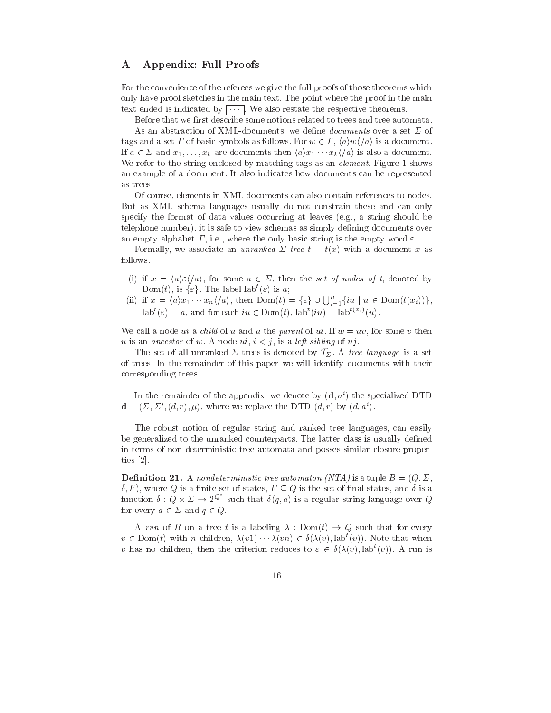#### **Appendix: Full Proofs**  $\mathbf{A}$

For the convenience of the referees we give the full proofs of those theorems which only have proof sketches in the main text. The point where the proof in the main text ended is indicated by  $\boxed{\cdots}$ . We also restate the respective theorems.

Before that we first describe some notions related to trees and tree automata.

As an abstraction of XML-documents, we define *documents* over a set  $\Sigma$  of tags and a set  $\Gamma$  of basic symbols as follows. For  $w \in \Gamma$ ,  $\langle a \rangle w \langle a \rangle$  is a document. If  $a \in \Sigma$  and  $x_1, \ldots, x_k$  are documents then  $\langle a \rangle x_1 \cdots x_k \langle a \rangle$  is also a document. We refer to the string enclosed by matching tags as an *element*. Figure 1 shows an example of a document. It also indicates how documents can be represented as trees.

Of course, elements in XML documents can also contain references to nodes. But as XML schema languages usually do not constrain these and can only specify the format of data values occurring at leaves (e.g., a string should be telephone number), it is safe to view schemas as simply defining documents over an empty alphabet  $\Gamma$ , i.e., where the only basic string is the empty word  $\varepsilon$ .

Formally, we associate an *unranked*  $\Sigma$ -tree  $t = t(x)$  with a document x as follows.

- (i) if  $x = \langle a \rangle \varepsilon \langle a \rangle$ , for some  $a \in \Sigma$ , then the set of nodes of t, denoted by Dom(t), is  $\{\varepsilon\}$ . The label lab<sup>t</sup>( $\varepsilon$ ) is a;
- (ii) if  $x = \langle a \rangle x_1 \cdots x_n \langle a \rangle$ , then  $Dom(t) = \{\varepsilon\} \cup \bigcup_{i=1}^n \{iu \mid u \in Dom(t(x_i))\},\$  $ab^{t}(\varepsilon) = a$ , and for each  $iu \in Dom(t)$ ,  $ab^{t}(iu) = lab^{t(x_i)}(u)$ .

We call a node ui a *child* of u and u the parent of ui. If  $w = uv$ , for some v then u is an ancestor of w. A node ui,  $i < j$ , is a left sibling of uj.

The set of all unranked  $\Sigma$ -trees is denoted by  $\mathcal{T}_{\Sigma}$ . A tree language is a set of trees. In the remainder of this paper we will identify documents with their corresponding trees.

In the remainder of the appendix, we denote by  $(d, a^i)$  the specialized DTD  $\mathbf{d} = (\Sigma, \Sigma', (d, r), \mu)$ , where we replace the DTD  $(d, r)$  by  $(d, a^i)$ .

The robust notion of regular string and ranked tree languages, can easily be generalized to the unranked counterparts. The latter class is usually defined in terms of non-deterministic tree automata and posses similar closure properties  $[2]$ .

**Definition 21.** A nondeterministic tree automaton (NTA) is a tuple  $B = (Q, \Sigma,$  $\delta$ , F), where Q is a finite set of states,  $F \subseteq Q$  is the set of final states, and  $\delta$  is a function  $\delta: Q \times \Sigma \to 2^{Q^*}$  such that  $\delta(q, a)$  is a regular string language over Q for every  $a \in \Sigma$  and  $q \in Q$ .

A run of B on a tree t is a labeling  $\lambda : Dom(t) \to Q$  such that for every  $v \in \text{Dom}(t)$  with *n* children,  $\lambda(v_1) \cdots \lambda(v_n) \in \delta(\lambda(v), \text{lab}^t(v))$ . Note that when v has no children, then the criterion reduces to  $\varepsilon \in \delta(\lambda(v), lab^{t}(v))$ . A run is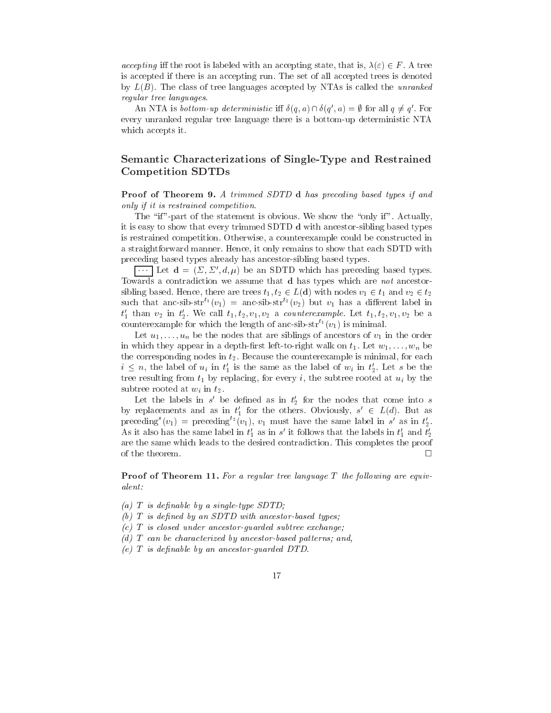*accepting* iff the root is labeled with an accepting state, that is,  $\lambda(\varepsilon) \in F$ . A tree is accepted if there is an accepting run. The set of all accepted trees is denoted by  $L(B)$ . The class of tree languages accepted by NTAs is called the *unranked* regular tree languages.

An NTA is *bottom-up deterministic* iff  $\delta(q, a) \cap \delta(q', a) = \emptyset$  for all  $q \neq q'$ . For every unranked regular tree language there is a bottom-up deterministic NTA which accepts it.

## Semantic Characterizations of Single-Type and Restrained **Competition SDTDs**

**Proof of Theorem 9.** A trimmed SDTD d has preceding based types if and only if it is restrained competition.

The "if"-part of the statement is obvious. We show the "only if". Actually, it is easy to show that every trimmed SDTD d with ancestor-sibling based types is restrained competition. Otherwise, a counterexample could be constructed in a straightforward manner. Hence, it only remains to show that each SDTD with preceding based types already has ancestor-sibling based types.

 $\boxed{\cdots}$  Let  $\mathbf{d} = (\Sigma, \Sigma', d, \mu)$  be an SDTD which has preceding based types. Towards a contradiction we assume that d has types which are not ancestorsibling based. Hence, there are trees  $t_1, t_2 \in L(\mathbf{d})$  with nodes  $v_1 \in t_1$  and  $v_2 \in t_2$ such that anc-sib-str<sup>t<sub>1</sub></sup>( $v_1$ ) = anc-sib-str<sup>t<sub>2</sub></sup>( $v_2$ ) but  $v_1$  has a different label in  $t'_1$  than  $v_2$  in  $t'_2$ . We call  $t_1, t_2, v_1, v_2$  a counterexample. Let  $t_1, t_2, v_1, v_2$  be a counterexample for which the length of anc-sib-str<sup>t<sub>1</sub></sup>( $v_1$ ) is minimal.

Let  $u_1, \ldots, u_n$  be the nodes that are siblings of ancestors of  $v_1$  in the order in which they appear in a depth-first left-to-right walk on  $t_1$ . Let  $w_1, \ldots, w_n$  be the corresponding nodes in  $t_2$ . Because the counterexample is minimal, for each  $i \leq n$ , the label of  $u_i$  in  $t'_1$  is the same as the label of  $w_i$  in  $t'_2$ . Let s be the tree resulting from  $t_1$  by replacing, for every i, the subtree rooted at  $u_i$  by the subtree rooted at  $w_i$  in  $t_2$ .

Let the labels in  $s'$  be defined as in  $t'_2$  for the nodes that come into s by replacements and as in  $t'_1$  for the others. Obviously,  $s' \in L(d)$ . But as preceding<sup>s</sup>( $v_1$ ) = preceding<sup>t<sub>2</sub></sup>( $v_1$ ),  $v_1$  must have the same label in s' as in  $t'_2$ . As it also has the same label in  $t'_1$  as in s' it follows that the labels in  $t'_1$  and  $t'_2$ are the same which leads to the desired contradiction. This completes the proof of the theorem.  $\Box$ 

**Proof of Theorem 11.** For a regular tree language  $T$  the following are equivalent:

- (a)  $T$  is definable by a single-type SDTD;
- (b)  $T$  is defined by an SDTD with ancestor-based types;
- $(c)$  T is closed under ancestor-quarded subtree exchange;
- $(d)$  T can be characterized by ancestor-based patterns; and,
- (e)  $T$  is definable by an ancestor-quarded  $DTD$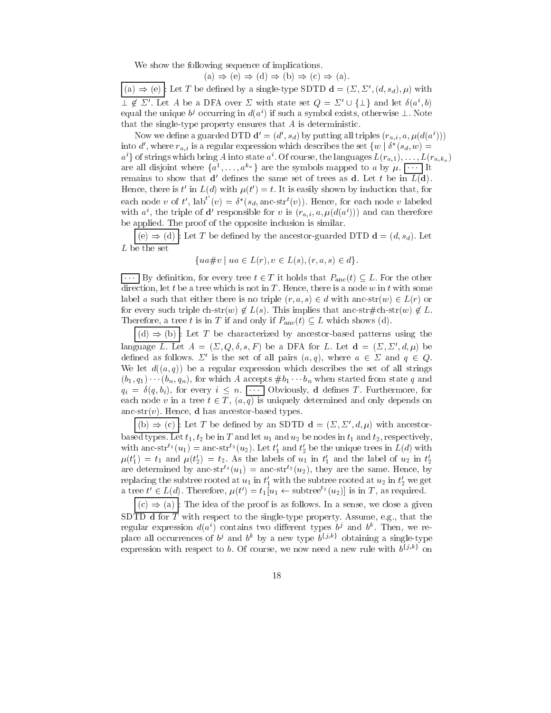We show the following sequence of implications.

 $(a) \Rightarrow (e) \Rightarrow (d) \Rightarrow (b) \Rightarrow (c) \Rightarrow (a)$ .

(a)  $\Rightarrow$  (e). Let T be defined by a single-type SDTD  $\mathbf{d} = (\Sigma, \Sigma', (d, s_d), \mu)$  with  $\perp \notin \Sigma'$ . Let A be a DFA over  $\Sigma$  with state set  $Q = \Sigma' \cup {\perp}$  and let  $\delta(a^i, b)$ equal the unique  $b^j$  occurring in  $d(a^i)$  if such a symbol exists, otherwise  $\perp$ . Note that the single-type property ensures that  $A$  is deterministic.

Now we define a guarded DTD  $\mathbf{d}' = (d', s_d)$  by putting all triples  $(r_{a,i}, a, \mu(d(a^i)))$ into d', where  $r_{a,i}$  is a regular expression which describes the set  $\{w \mid \delta^*(s_d, w) =$  $a^i$  of strings which bring A into state  $a^i$ . Of course, the languages  $L(r_{a,1}), \ldots, L(r_{a,k_a})$ are all disjoint where  $\{a^1, \ldots, a^{k_a}\}\$  are the symbols mapped to a by  $\mu$ .  $\cdots$  It remains to show that d' defines the same set of trees as d. Let t be in  $\overline{L}(\mathbf{d})$ . Hence, there is t' in  $L(d)$  with  $\mu(t') = t$ . It is easily shown by induction that, for each node v of t',  $\mathrm{lab}^{t'}(v) = \delta^*(s_d, \mathrm{anc\text{-}str}^t(v))$ . Hence, for each node v labeled with  $a^i$ , the triple of **d'** responsible for v is  $(r_{a,i}, a, \mu(d(a^i)))$  and can therefore be applied. The proof of the opposite inclusion is similar.

 $(e) \Rightarrow (d)$ : Let T be defined by the ancestor-guarded DTD  $\mathbf{d} = (d, s_d)$ . Let  $L$  be the set

$$
\{ua\#v \mid ua \in L(r), v \in L(s), (r, a, s) \in d\}.
$$

 $\boxed{\cdots}$  By definition, for every tree  $t \in T$  it holds that  $P_{\text{anc}}(t) \subseteq L$ . For the other direction, let t be a tree which is not in  $T$ . Hence, there is a node  $w$  in  $t$  with some label a such that either there is no triple  $(r, a, s) \in d$  with anc-str $(w) \in L(r)$  or for every such triple ch-str(w)  $\notin L(s)$ . This implies that anc-str#ch-str(w)  $\notin L$ . Therefore, a tree t is in T if and only if  $P_{\text{anc}}(t) \subseteq L$  which shows (d).

 $(d) \Rightarrow (b)$ . Let T be characterized by ancestor-based patterns using the language L. Let  $A = (\Sigma, Q, \delta, s, F)$  be a DFA for L. Let  $\mathbf{d} = (\Sigma, \Sigma', d, \mu)$  be defined as follows.  $\Sigma'$  is the set of all pairs  $(a,q)$ , where  $a \in \Sigma$  and  $q \in Q$ . We let  $d((a,q))$  be a regular expression which describes the set of all strings  $(b_1, q_1) \cdots (b_n, q_n)$ , for which A accepts  $\#b_1 \cdots b_n$  when started from state q and  $q_i = \delta(q, b_i)$ , for every  $i \leq n$ .  $\cdots$  Obviously, **d** defines T. Furthermore, for each node v in a tree  $t \in T$ ,  $(a, q)$  is uniquely determined and only depends on anc-str(v). Hence, **d** has ancestor-based types.

(b)  $\Rightarrow$  (c) : Let T be defined by an SDTD  $\mathbf{d} = (\Sigma, \Sigma', d, \mu)$  with ancestorbased types. Let  $t_1, t_2$  be in T and let  $u_1$  and  $u_2$  be nodes in  $t_1$  and  $t_2$ , respectively, with anc-str<sup>t<sub>1</sub></sup>( $u_1$ ) = anc-str<sup>t<sub>2</sub></sup>( $u_2$ ). Let  $t'_1$  and  $t'_2$  be the unique trees in  $L(d)$  with  $\mu(t'_1) = t_1$  and  $\mu(t'_2) = t_2$ . As the labels of  $u_1$  in  $t'_1$  and the label of  $u_2$  in  $t'_2$ are determined by anc-str<sup>t<sub>1</sub></sup>( $u_1$ ) = anc-str<sup>t<sub>2</sub></sup>( $u_2$ ), they are the same. Hence, by replacing the subtree rooted at  $u_1$  in  $t'_1$  with the subtree rooted at  $u_2$  in  $t'_2$  we get a tree  $t' \in L(d)$ . Therefore,  $\mu(t') = t_1[u_1 \leftarrow \text{subtree}^{t_2}(u_2)]$  is in T, as required.

 $(c) \Rightarrow (a)$ . The idea of the proof is as follows. In a sense, we close a given SDTD **d** for  $\overline{T}$  with respect to the single-type property. Assume, e.g., that the regular expression  $d(a^i)$  contains two different types  $b^j$  and  $b^k$ . Then, we replace all occurrences of  $b^j$  and  $b^k$  by a new type  $b^{\{j,k\}}$  obtaining a single-type expression with respect to b. Of course, we now need a new rule with  $b^{\{j,k\}}$  on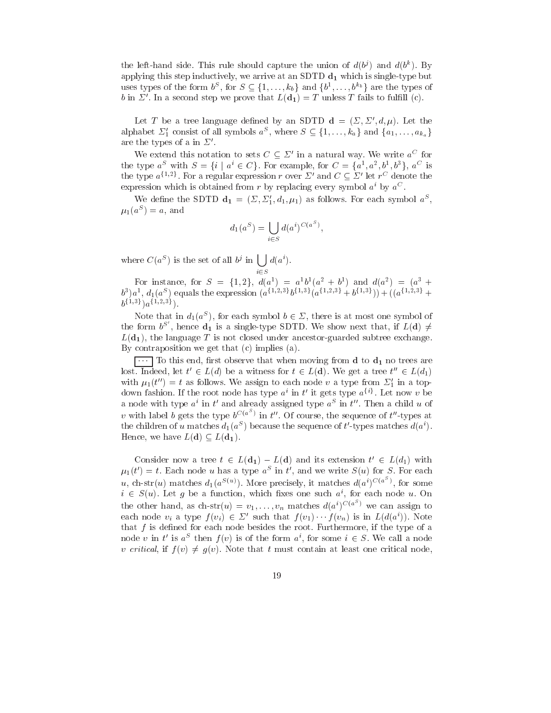the left-hand side. This rule should capture the union of  $d(b^j)$  and  $d(b^k)$ . By applying this step inductively, we arrive at an SDTD  $d_1$  which is single-type but uses types of the form  $b^S$ , for  $S \subseteq \{1, \ldots, k_b\}$  and  $\{b^1, \ldots, b^{k_b}\}$  are the types of b in  $\Sigma'$ . In a second step we prove that  $L(\mathbf{d}_1) = T$  unless T fails to fulfill (c).

Let T be a tree language defined by an SDTD  $\mathbf{d} = (\Sigma, \Sigma', d, \mu)$ . Let the alphabet  $\Sigma'_1$  consist of all symbols  $a^S$ , where  $S \subseteq \{1, \ldots, k_a\}$  and  $\{a_1, \ldots, a_{k_a}\}$ are the types of a in  $\Sigma'$ .

We extend this notation to sets  $C \subseteq \Sigma'$  in a natural way. We write  $a^C$  for the type  $a^S$  with  $S = \{i \mid a^i \in C\}$ . For example, for  $C = \{a^1, a^2, b^1, b^3\}$ ,  $a^C$  is the type  $a^{\{1,2\}}$ . For a regular expression r over  $\Sigma'$  and  $C \subseteq \Sigma'$  let  $r^C$  denote the expression which is obtained from r by replacing every symbol  $a^i$  by  $a^C$ .

We define the SDTD  $\mathbf{d_1} = (\Sigma, \Sigma'_1, d_1, \mu_1)$  as follows. For each symbol  $a^S$ ,  $\mu_1(a^S) = a$ , and

$$
d_1(a^S) = \bigcup_{i \in S} d(a^i)^{C(a^S)},
$$

where  $C(a^S)$  is the set of all  $b^j$  in  $\bigcup d(a^i)$ .

For instance, for  $S = \{1,2\}$ ,  $d(a^1) = a^1b^1(a^2 + b^1)$  and  $d(a^2) = (a^3 + b^3)a^1$ ,  $d_1(a^S)$  equals the expression  $(a^{\{1,2,3\}}b^{\{1,3\}}(a^{\{1,2,3\}} + b^{\{1,3\}})) + ((a^{\{1,2,3\}} + b^{\{1,3\}}))$  $b^{\{1,3\}}$ ) $a^{\{1,2,3\}}$ ).

Note that in  $d_1(a^S)$ , for each symbol  $b \in \Sigma$ , there is at most one symbol of the form  $b^{S'}$ , hence  $\mathbf{d}_1$  is a single-type SDTD. We show next that, if  $L(\mathbf{d}) \neq$  $L(\mathbf{d}_1)$ , the language T is not closed under ancestor-guarded subtree exchange. By contraposition we get that  $(c)$  implies  $(a)$ .

 $\boxed{\cdots}$  To this end, first observe that when moving from **d** to **d**<sub>1</sub> no trees are lost. Indeed, let  $t' \in L(d)$  be a witness for  $t \in L(d)$ . We get a tree  $t'' \in L(d_1)$ with  $\mu_1(t'') = t$  as follows. We assign to each node v a type from  $\Sigma'_1$  in a topdown fashion. If the root node has type  $a^i$  in t' it gets type  $a^{\{i\}}$ . Let now v be a node with type  $a^i$  in t' and already assigned type  $a^S$  in t''. Then a child u of v with label b gets the type  $b^{C(a^S)}$  in t''. Of course, the sequence of t''-types at the children of u matches  $d_1(a^S)$  because the sequence of t'-types matches  $d(a^i)$ . Hence, we have  $L(\mathbf{d}) \subset L(\mathbf{d}_1)$ .

Consider now a tree  $t \in L(\mathbf{d}_1) - L(\mathbf{d})$  and its extension  $t' \in L(d_1)$  with  $\mu_1(t') = t$ . Each node u has a type  $a^S$  in  $t'$ , and we write  $S(u)$  for S. For each u, ch-str(u) matches  $d_1(a^{S(u)})$ . More precisely, it matches  $d(a^i)^{C(a^S)}$ , for some  $i \in S(u)$ . Let g be a function, which fixes one such  $a^i$ , for each node u. On the other hand, as ch-str(u) =  $v_1, \ldots, v_n$  matches  $d(a^i)^{C(a^S)}$  we can assign to each node  $v_i$  a type  $f(v_i) \in \Sigma'$  such that  $f(v_1) \cdots f(v_n)$  is in  $L(d(a^i))$ . Note that  $f$  is defined for each node besides the root. Furthermore, if the type of a node v in t' is  $a^S$  then  $f(v)$  is of the form  $a^i$ , for some  $i \in S$ . We call a node v critical, if  $f(v) \neq g(v)$ . Note that t must contain at least one critical node,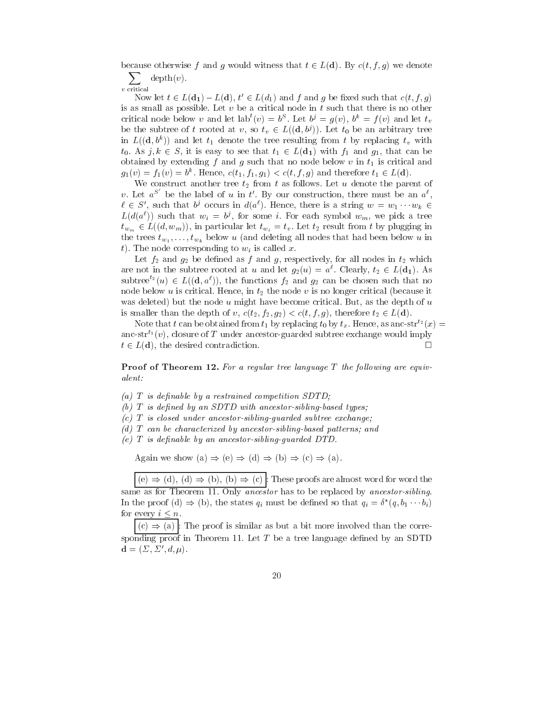because otherwise f and g would witness that  $t \in L(\mathbf{d})$ . By  $c(t, f, g)$  we denote

 $\sum$  depth $(v)$ .  $v$  critical

Now let  $t \in L(\mathbf{d}_1) - L(\mathbf{d}), t' \in L(d_1)$  and f and g be fixed such that  $c(t, f, g)$ is as small as possible. Let  $v$  be a critical node in  $t$  such that there is no other critical node below v and let  $\mathrm{lab}^{t}(v) = b^{S}$ . Let  $b^{j} = g(v)$ ,  $b^{k} = f(v)$  and let  $t_{v}$ be the subtree of t rooted at v, so  $t_n \in L((\mathbf{d}, b^j))$ . Let  $t_0$  be an arbitrary tree in  $L((\mathbf{d},b^k))$  and let  $t_1$  denote the tree resulting from t by replacing  $t_v$  with  $t_0$ . As  $j, k \in S$ , it is easy to see that  $t_1 \in L(\mathbf{d}_1)$  with  $f_1$  and  $g_1$ , that can be obtained by extending  $f$  and  $g$  such that no node below  $v$  in  $t_1$  is critical and  $g_1(v) = f_1(v) = b^k$ . Hence,  $c(t_1, f_1, g_1) < c(t, f, g)$  and therefore  $t_1 \in L(\mathbf{d})$ .

We construct another tree  $t_2$  from t as follows. Let u denote the parent of v. Let  $a^{S'}$  be the label of u in t'. By our construction, there must be an  $a^{\ell}$ .  $\ell \in S'$ , such that  $b^j$  occurs in  $d(a^{\ell})$ . Hence, there is a string  $w = w_1 \cdots w_k$  $L(d(a^{\ell}))$  such that  $w_i = b^j$ , for some i. For each symbol  $w_m$ , we pick a tree  $t_{w_m} \in L((d, w_m))$ , in particular let  $t_{w_i} = t_v$ . Let  $t_2$  result from t by plugging in the trees  $t_{w_1}, \ldots, t_{w_k}$  below u (and deleting all nodes that had been below u in t). The node corresponding to  $w_i$  is called x.

Let  $f_2$  and  $g_2$  be defined as f and g, respectively, for all nodes in  $t_2$  which are not in the subtree rooted at u and let  $g_2(u) = a^{\ell}$ . Clearly,  $t_2 \in L(\mathbf{d}_1)$ . As subtree<sup>t<sub>2</sub></sup>(*u*)  $\in L((\mathbf{d},a^{\ell}))$ , the functions  $f_2$  and  $g_2$  can be chosen such that no node below u is critical. Hence, in  $t_2$  the node v is no longer critical (because it was deleted) but the node  $u$  might have become critical. But, as the depth of  $u$ is smaller than the depth of v,  $c(t_2, f_2, g_2) < c(t, f, g)$ , therefore  $t_2 \in L(\mathbf{d})$ .

Note that t can be obtained from  $t_1$  by replacing  $t_0$  by  $t_x$ . Hence, as anc-str<sup>t2</sup> (x) = anc-str<sup>t<sub>1</sub></sup>(*v*), closure of T under ancestor-guarded subtree exchange would imply  $t \in L(\mathbf{d})$ , the desired contradiction.  $\Box$ 

**Proof of Theorem 12.** For a regular tree language  $T$  the following are equivalent:

- (a)  $T$  is definable by a restrained competition SDTD;
- (b)  $T$  is defined by an SDTD with ancestor-sibling-based types;
- $(c)$  T is closed under ancestor-sibling-quarded subtree exchange:
- (d)  $T$  can be characterized by ancestor-sibling-based patterns; and
- (e)  $T$  is definable by an ancestor-sibling-quarded DTD.

Again we show (a)  $\Rightarrow$  (e)  $\Rightarrow$  (d)  $\Rightarrow$  (b)  $\Rightarrow$  (c)  $\Rightarrow$  (a).

(e)  $\Rightarrow$  (d), (d)  $\Rightarrow$  (b), (b)  $\Rightarrow$  (c) These proofs are almost word for word the same as for Theorem 11. Only *ancestor* has to be replaced by *ancestor-sibling*. In the proof (d)  $\Rightarrow$  (b), the states  $q_i$  must be defined so that  $q_i = \delta^*(q, b_1 \cdots b_i)$ for every  $i \leq n$ .

 $(c) \Rightarrow (a)$ . The proof is similar as but a bit more involved than the corresponding proof in Theorem 11. Let  $T$  be a tree language defined by an SDTD  $\mathbf{d} = (\Sigma, \Sigma', d, \mu).$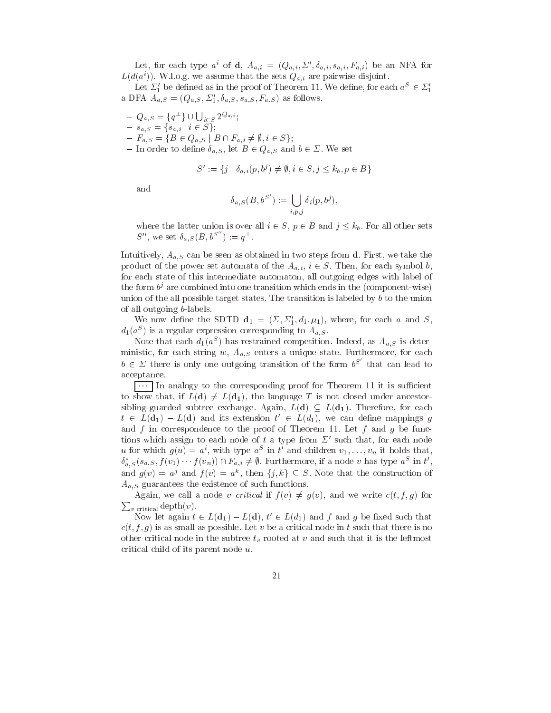Let, for each type  $a^i$  of **d**,  $A_{a,i} = (Q_{a,i}, \Sigma', \delta_{a,i}, s_{a,i}, F_{a,i})$  be an NFA for  $L(d(a^i))$ . W.l.o.g. we assume that the sets  $Q_{a,i}$  are pairwise disjoint.

Let  $\Sigma'_{1}$  be defined as in the proof of Theorem 11. We define, for each  $a^{S} \in \Sigma'_{1}$ a DFA  $A_{a,S} = (Q_{a,S}, \Sigma'_1, \delta_{a,S}, s_{a,S}, F_{a,S})$  as follows.

- $Q_{a,S} = \{q^{\perp}\}\cup \bigcup_{i\in S} 2^{Q_{a,i}};$  $- s_{a,S} = \{s_{a,i} \mid i \in S\};$
- $F_{a,S} = \{ B \in Q_{a,S} \mid B \cap F_{a,i} \neq \emptyset, i \in S \};$
- In order to define  $\delta_{a,S}$ , let  $B \in Q_{a,S}$  and  $b \in \Sigma$ . We set

$$
S' := \{ j \mid \delta_{a,i}(p, b^j) \neq \emptyset, i \in S, j \leq k_b, p \in B \}
$$

and

$$
\delta_{a,S}(B,b^{S'}) := \bigcup_{i,p,j} \delta_i(p,b^j),
$$

where the latter union is over all  $i \in S$ ,  $p \in B$  and  $j \leq k_b$ . For all other sets  $S''$ , we set  $\delta_{a,S}(B,b^{S''}) := q^{\perp}$ .

Intuitively,  $A_{a,S}$  can be seen as obtained in two steps from d. First, we take the product of the power set automata of the  $A_{a,i}$ ,  $i \in S$ . Then, for each symbol b, for each state of this intermediate automaton, all outgoing edges with label of the form  $b^j$  are combined into one transition which ends in the (component-wise) union of the all possible target states. The transition is labeled by b to the union of all outgoing  $b$ -labels.

We now define the SDTD  $\mathbf{d}_1 = (\Sigma, \Sigma_1', d_1, \mu_1)$ , where, for each a and S,  $d_1(a^S)$  is a regular expression corresponding to  $A_{a,S}$ .

Note that each  $d_1(a^S)$  has restrained competition. Indeed, as  $A_{a,S}$  is deterministic, for each string  $w$ ,  $A_{a,S}$  enters a unique state. Furthermore, for each  $b \in \Sigma$  there is only one outgoing transition of the form  $b^{S'}$  that can lead to acceptance.

 $\boxed{\cdots}$  In analogy to the corresponding proof for Theorem 11 it is sufficient to show that, if  $L(\mathbf{d}) \neq L(\mathbf{d}_1)$ , the language T is not closed under ancestorsibling-guarded subtree exchange. Again,  $L(\mathbf{d}) \subseteq L(\mathbf{d}_1)$ . Therefore, for each  $t \in L(\mathbf{d_1}) - L(\mathbf{d})$  and its extension  $t' \in L(d_1)$ , we can define mappings g and f in correspondence to the proof of Theorem 11. Let f and g be functions which assign to each node of t a type from  $\Sigma'$  such that, for each node u for which  $g(u) = a^i$ , with type  $a^S$  in t' and children  $v_1, \ldots, v_n$  it holds that,  $\delta_{a,S}^*(s_{a,S},f(v_1)\cdots f(v_n))\cap F_{a,i}\neq\emptyset$ . Furthermore, if a node v has type  $a^S$  in t', and  $g(v) = a^j$  and  $f(v) = a^k$ , then  $\{j,k\} \subset S$ . Note that the construction of  $A_{a,S}$  guarantees the existence of such functions.

Again, we call a node v critical if  $f(v) \neq g(v)$ , and we write  $c(t, f, g)$  for  $\sum_{v \text{ critical}} \text{depth}(v).$ 

Now let again  $t \in L(\mathbf{d}_1) - L(\mathbf{d}), t' \in L(d_1)$  and f and g be fixed such that  $c(t, f, g)$  is as small as possible. Let v be a critical node in t such that there is no other critical node in the subtree  $t_v$  rooted at v and such that it is the leftmost critical child of its parent node  $u$ .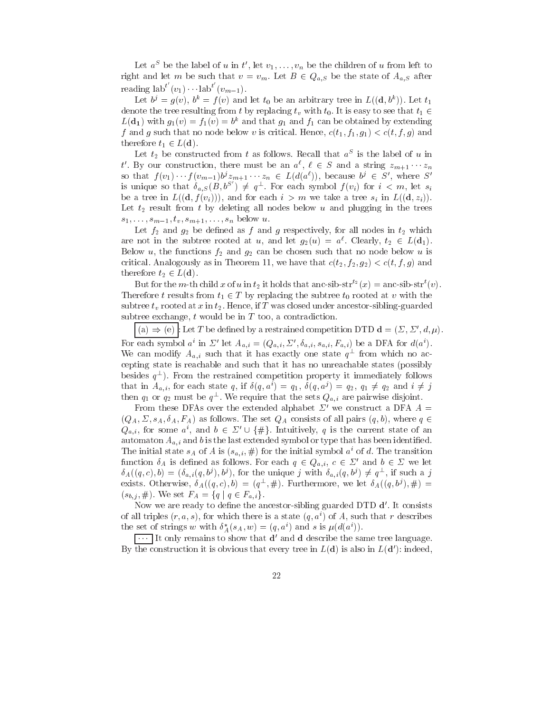Let  $a^S$  be the label of u in t', let  $v_1, \ldots, v_n$  be the children of u from left to right and let m be such that  $v = v_m$ . Let  $B \in Q_{a,S}$  be the state of  $A_{a,S}$  after reading  $\mathrm{lab}^{t'}(v_1)\cdots \mathrm{lab}^{t'}(v_{m-1}).$ 

Let  $b^j = g(v)$ ,  $b^k = f(v)$  and let  $t_0$  be an arbitrary tree in  $L((d, b^k))$ . Let  $t_1$ denote the tree resulting from t by replacing  $t_v$  with  $t_0$ . It is easy to see that  $t_1 \in$  $L(\mathbf{d}_1)$  with  $g_1(v) = f_1(v) = b^k$  and that  $g_1$  and  $f_1$  can be obtained by extending f and g such that no node below v is critical. Hence,  $c(t_1, f_1, g_1) < c(t, f, g)$  and therefore  $t_1 \in L(\mathbf{d})$ .

Let  $t_2$  be constructed from t as follows. Recall that  $a^S$  is the label of u in t'. By our construction, there must be an  $a^{\ell}$ ,  $\ell \in S$  and a string  $z_{m+1} \cdots z_n$ so that  $f(v_1) \cdots f(v_{m-1})b^j z_{m+1} \cdots z_n \in L(d(a^{\ell}))$ , because  $b^j \in S'$ , where S' is unique so that  $\delta_{a,S}(B,b^{S'}) \neq q^{\perp}$ . For each symbol  $f(v_i)$  for  $i < m$ , let  $s_i$ be a tree in  $L((\mathbf{d}, f(v_i))),$  and for each  $i > m$  we take a tree  $s_i$  in  $L((\mathbf{d}, z_i)).$ Let  $t_2$  result from t by deleting all nodes below u and plugging in the trees  $s_1, \ldots, s_{m-1}, t_v, s_{m+1}, \ldots, s_n$  below u.

Let  $f_2$  and  $g_2$  be defined as f and g respectively, for all nodes in  $t_2$  which are not in the subtree rooted at u, and let  $g_2(u) = a^{\ell}$ . Clearly,  $t_2 \in L(\mathbf{d}_1)$ . Below u, the functions  $f_2$  and  $g_2$  can be chosen such that no node below u is critical. Analogously as in Theorem 11, we have that  $c(t_2, f_2, g_2) < c(t, f, g)$  and therefore  $t_2 \in L(\mathbf{d})$ .

But for the m-th child x of u in  $t_2$  it holds that anc-sib-str<sup> $t_2(x)$ </sup> = anc-sib-str<sup> $t$ </sup>(v). Therefore t results from  $t_1 \in T$  by replacing the subtree  $t_0$  rooted at v with the subtree  $t_v$  rooted at x in  $t_2$ . Hence, if T was closed under ancestor-sibling-guarded subtree exchange,  $t$  would be in  $T$  too, a contradiction.

(a)  $\Rightarrow$  (e) Let T be defined by a restrained competition DTD  $\mathbf{d} = (\Sigma, \Sigma', d, \mu)$ . For each symbol  $a^i$  in  $\Sigma'$  let  $A_{a,i} = (Q_{a,i}, \Sigma', \delta_{a,i}, s_{a,i}, F_{a,i})$  be a DFA for  $d(a^i)$ . We can modify  $A_{a,i}$  such that it has exactly one state  $q^{\perp}$  from which no accepting state is reachable and such that it has no unreachable states (possibly besides  $q^{\perp}$ ). From the restrained competition property it immediately follows that in  $A_{a,i}$ , for each state q, if  $\delta(q, a^i) = q_1$ ,  $\delta(q, a^j) = q_2$ ,  $q_1 \neq q_2$  and  $i \neq j$ then  $q_1$  or  $q_2$  must be  $q^{\perp}$ . We require that the sets  $Q_{a,i}$  are pairwise disjoint.

From these DFAs over the extended alphabet  $\Sigma'$  we construct a DFA  $A =$  $(Q_A, \Sigma, s_A, \delta_A, F_A)$  as follows. The set  $Q_A$  consists of all pairs  $(q, b)$ , where  $q \in$  $Q_{a,i}$ , for some  $a^i$ , and  $b \in \Sigma' \cup \{\#\}$ . Intuitively, q is the current state of an automaton  $A_{a,i}$  and b is the last extended symbol or type that has been identified. The initial state  $s_A$  of A is  $(s_{a,i}, \#)$  for the initial symbol  $a^i$  of d. The transition function  $\delta_A$  is defined as follows. For each  $q \in Q_{a,i}, c \in \Sigma'$  and  $b \in \Sigma$  we let  $\delta_A((q,c),b)=(\delta_{a,i}(q,b^j),b^j)$ , for the unique j with  $\delta_{a,i}(q,b^j)\neq q^{\perp}$ , if such a j exists. Otherwise,  $\delta_A((q, c), b) = (q^{\perp}, \#)$ . Furthermore, we let  $\delta_A((q, b^j), \#) =$  $(s_{b,j}, \#)$ . We set  $F_A = \{q \mid q \in F_{a,i}\}.$ 

Now we are ready to define the ancestor-sibling guarded DTD d'. It consists of all triples  $(r, a, s)$ , for which there is a state  $(q, a^i)$  of A, such that r describes the set of strings w with  $\delta_A^*(s_A, w) = (q, a^i)$  and s is  $\mu(d(a^i))$ .

 $\boxed{\cdots}$  It only remains to show that  $\mathbf{d}'$  and  $\mathbf{d}$  describe the same tree language. By the construction it is obvious that every tree in  $L(\mathbf{d})$  is also in  $L(\mathbf{d}')$ : indeed,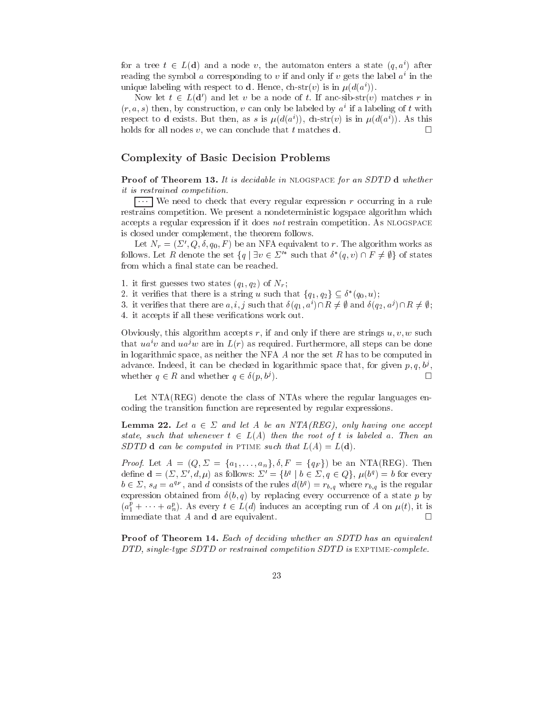for a tree  $t \in L(d)$  and a node v, the automaton enters a state  $(q, a^i)$  after reading the symbol a corresponding to v if and only if v gets the label  $a^i$  in the unique labeling with respect to **d**. Hence, ch-str(v) is in  $\mu(d(a^i))$ .

Now let  $t \in L(\mathbf{d}')$  and let v be a node of t. If anc-sib-str(v) matches r in  $(r, a, s)$  then, by construction, v can only be labeled by  $a^i$  if a labeling of t with respect to **d** exists. But then, as s is  $\mu(d(a^i))$ , ch-str(v) is in  $\mu(d(a^i))$ . As this holds for all nodes  $v$ , we can conclude that  $t$  matches  $d$ .  $\Box$ 

### **Complexity of Basic Decision Problems**

**Proof of Theorem 13.** It is decidable in NLOGSPACE for an SDTD d whether *it is restrained competition.* 

 $\boxed{\cdots}$  We need to check that every regular expression r occurring in a rule restrains competition. We present a nondeterministic logspace algorithm which accepts a regular expression if it does not restrain competition. As NLOGSPACE is closed under complement, the theorem follows.

Let  $N_r = (\Sigma', Q, \delta, q_0, F)$  be an NFA equivalent to r. The algorithm works as follows. Let R denote the set  $\{q \mid \exists v \in \Sigma'^*$  such that  $\delta^*(q, v) \cap F \neq \emptyset\}$  of states from which a final state can be reached.

- 1. it first guesses two states  $(q_1, q_2)$  of  $N_r$ ;
- 2. it verifies that there is a string u such that  $\{q_1, q_2\} \subseteq \delta^*(q_0, u);$
- 3. it verifies that there are  $a, i, j$  such that  $\delta(q_1, a^i) \cap R \neq \emptyset$  and  $\delta(q_2, a^j) \cap R \neq \emptyset$ ;
- 4. it accepts if all these verifications work out.

Obviously, this algorithm accepts  $r$ , if and only if there are strings  $u, v, w$  such that  $ua^i v$  and  $ua^j w$  are in  $L(r)$  as required. Furthermore, all steps can be done in logarithmic space, as neither the NFA  $A$  nor the set  $R$  has to be computed in advance. Indeed, it can be checked in logarithmic space that, for given  $p, q, b^j$ . whether  $q \in R$  and whether  $q \in \delta(p, b^j)$ .  $\Box$ 

Let NTA(REG) denote the class of NTAs where the regular languages encoding the transition function are represented by regular expressions.

**Lemma 22.** Let  $a \in \Sigma$  and let A be an NTA(REG), only having one accept state, such that whenever  $t \in L(A)$  then the root of t is labeled a. Then an SDTD **d** can be computed in PTIME such that  $L(A) = L(\mathbf{d})$ .

*Proof.* Let  $A = (Q, \Sigma = \{a_1, ..., a_n\}, \delta, F = \{q_F\})$  be an NTA(REG). Then define  $\mathbf{d} = (\Sigma, \Sigma', d, \mu)$  as follows:  $\Sigma' = \{b^q | b \in \Sigma, q \in Q\}$ ,  $\mu(b^q) = b$  for every  $b \in \Sigma$ ,  $s_d = a^{qF}$ , and d consists of the rules  $d(b^q) = r_{b,q}$  where  $r_{b,q}$  is the regular expression obtained from  $\delta(b,q)$  by replacing every occurrence of a state p by  $(a_1^p + \cdots + a_n^p)$ . As every  $t \in L(d)$  induces an accepting run of A on  $\mu(t)$ , it is immediate that  $A$  and  $d$  are equivalent.  $\Box$ 

Proof of Theorem 14. Each of deciding whether an SDTD has an equivalent DTD, single-type SDTD or restrained competition SDTD is EXPTIME-complete.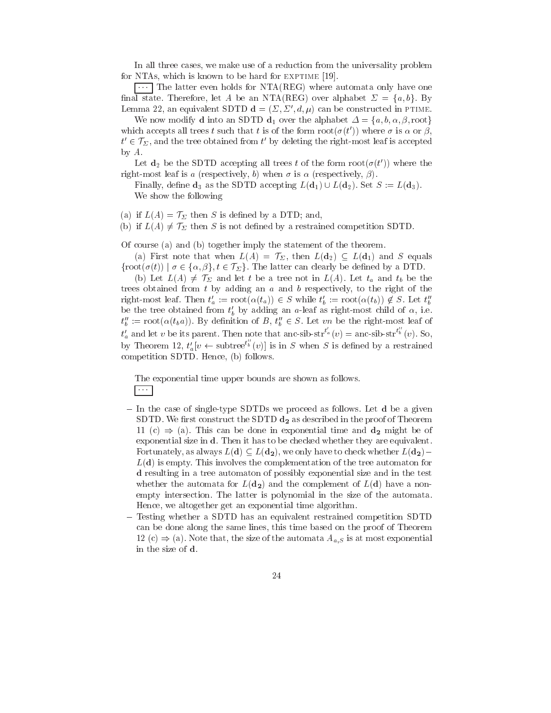In all three cases, we make use of a reduction from the universality problem for NTAs, which is known to be hard for EXPTIME [19].

 $\lceil \cdots \rceil$  The latter even holds for NTA(REG) where automata only have one final state. Therefore, let A be an NTA(REG) over alphabet  $\Sigma = \{a, b\}$ . By Lemma 22, an equivalent SDTD  $\mathbf{d} = (\Sigma, \Sigma', d, \mu)$  can be constructed in PTIME.

We now modify **d** into an SDTD **d**<sub>1</sub> over the alphabet  $\Delta = \{a, b, \alpha, \beta, \text{root}\}\$ which accepts all trees t such that t is of the form  $\text{root}(\sigma(t'))$  where  $\sigma$  is  $\alpha$  or  $\beta$ ,  $t' \in \mathcal{T}_{\Sigma}$ , and the tree obtained from t' by deleting the right-most leaf is accepted by  $A$ .

Let  $\mathbf{d}_2$  be the SDTD accepting all trees t of the form  $\text{root}(\sigma(t'))$  where the right-most leaf is a (respectively, b) when  $\sigma$  is  $\alpha$  (respectively,  $\beta$ ).

Finally, define  $\mathbf{d}_3$  as the SDTD accepting  $L(\mathbf{d}_1) \cup L(\mathbf{d}_2)$ . Set  $S := L(\mathbf{d}_3)$ . We show the following

(a) if  $L(A) = \mathcal{T}_{\Sigma}$  then S is defined by a DTD; and,

(b) if  $L(A) \neq \mathcal{T}_{\Sigma}$  then S is not defined by a restrained competition SDTD.

Of course (a) and (b) together imply the statement of the theorem.

(a) First note that when  $L(A) = \mathcal{T}_{\Sigma}$ , then  $L(\mathbf{d}_2) \subseteq L(\mathbf{d}_1)$  and S equals {root( $\sigma(t)$ ) |  $\sigma \in {\alpha, \beta}, t \in \mathcal{T}_{\Sigma}$ }. The latter can clearly be defined by a DTD.

(b) Let  $L(A) \neq \mathcal{T}_{\Sigma}$  and let t be a tree not in  $L(A)$ . Let  $t_a$  and  $t_b$  be the trees obtained from  $t$  by adding an  $a$  and  $b$  respectively, to the right of the right-most leaf. Then  $t'_a := \text{root}(\alpha(t_a)) \in S$  while  $t'_b := \text{root}(\alpha(t_b)) \notin S$ . Let  $t''_b$ be the tree obtained from  $t'_b$  by adding an a-leaf as right-most child of  $\alpha$ , i.e.  $t''_b := \text{root}(\alpha(t_b a))$ . By definition of B,  $t''_b \in S$ . Let vn be the right-most leaf of  $t'_a$  and let v be its parent. Then note that anc-sib-str<sup> $t'_a(v)$ </sup> = anc-sib-str<sup> $t''_b(v)$ </sup>. So, by Theorem 12,  $t'_{a}[v \leftarrow \text{subtree}^{t''_b}(v)]$  is in S when S is defined by a restrained competition SDTD. Hence, (b) follows.

The exponential time upper bounds are shown as follows.  $\sqrt{2}$ 

- In the case of single-type SDTDs we proceed as follows. Let **d** be a given SDTD. We first construct the SDTD  $d_2$  as described in the proof of Theorem 11 (c)  $\Rightarrow$  (a). This can be done in exponential time and  $d_2$  might be of exponential size in d. Then it has to be checked whether they are equivalent. Fortunately, as always  $L(\mathbf{d}) \subseteq L(\mathbf{d_2})$ , we only have to check whether  $L(\mathbf{d_2})$  $L(d)$  is empty. This involves the complementation of the tree automaton for d resulting in a tree automaton of possibly exponential size and in the test whether the automata for  $L(\mathbf{d}_2)$  and the complement of  $L(\mathbf{d})$  have a nonempty intersection. The latter is polynomial in the size of the automata. Hence, we altogether get an exponential time algorithm.
- Testing whether a SDTD has an equivalent restrained competition SDTD can be done along the same lines, this time based on the proof of Theorem 12 (c)  $\Rightarrow$  (a). Note that, the size of the automata  $A_{a,S}$  is at most exponential in the size of d.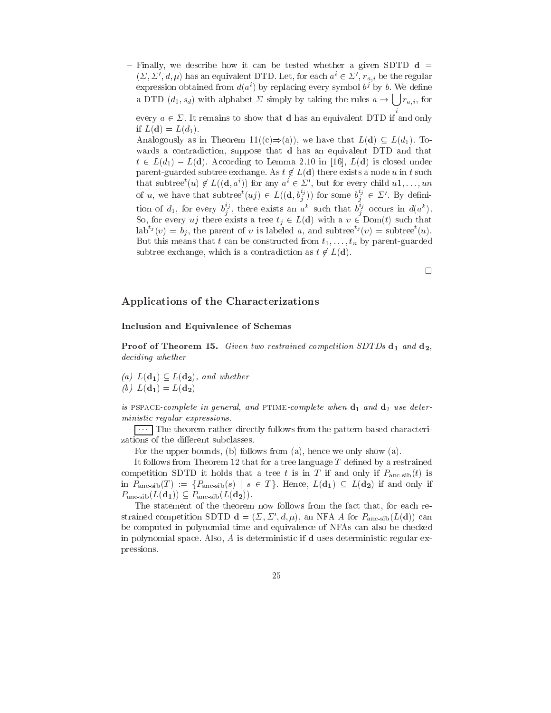- Finally, we describe how it can be tested whether a given SDTD  $\mathbf{d} =$  $(\Sigma, \Sigma', d, \mu)$  has an equivalent DTD. Let, for each  $a^i \in \Sigma'$ ,  $r_{a,i}$  be the regular expression obtained from  $d(a^i)$  by replacing every symbol  $b^j$  by b. We define a DTD  $(d_1, s_d)$  with alphabet  $\Sigma$  simply by taking the rules  $a \to \bigcup r_{a,i}$ , for

every  $a \in \Sigma$ . It remains to show that **d** has an equivalent DTD if and only if  $L(\mathbf{d}) = L(d_1)$ .

Analogously as in Theorem 11((c) $\Rightarrow$ (a)), we have that  $L(\mathbf{d}) \subseteq L(d_1)$ . Towards a contradiction, suppose that d has an equivalent DTD and that  $t \in L(d_1) - L(d)$ . According to Lemma 2.10 in [16],  $L(d)$  is closed under parent-guarded subtree exchange. As  $t \notin L(\mathbf{d})$  there exists a node u in t such that subtree<sup>t</sup>(u)  $\notin L((\mathbf{d},a^i))$  for any  $a^i \in \Sigma'$ , but for every child  $u_1,\ldots,u_n$ of u, we have that subtree<sup>t</sup> $(uj) \in L((\mathbf{d},b_i^{i_j}))$  for some  $b_i^{i_j} \in \Sigma'$ . By definition of  $d_1$ , for every  $b_j^{i_j}$ , there exists an  $a^k$  such that  $b_j^{i_j}$  occurs in  $d(a^k)$ .<br>So, for every uj there exists a tree  $t_j \in L(\mathbf{d})$  with a  $v \in \text{Dom}(t)$  such that  $lab^{t_j}(v) = b_j$ , the parent of v is labeled a, and subtree<sup>t<sub>j</sub></sup> $(v) = subtree^{t}(u)$ . But this means that t can be constructed from  $t_1, \ldots, t_n$  by parent-guarded subtree exchange, which is a contradiction as  $t \notin L(\mathbf{d})$ .

 $\Box$ 

### Applications of the Characterizations

### Inclusion and Equivalence of Schemas

**Proof of Theorem 15.** Given two restrained competition SDTDs  $\mathbf{d}_1$  and  $\mathbf{d}_2$ , deciding whether

(a)  $L(\mathbf{d_1}) \subset L(\mathbf{d_2})$ , and whether (b)  $L(\bf{d_1}) = L(\bf{d_2})$ 

is PSPACE-complete in general, and PTIME-complete when  $\mathbf{d}_1$  and  $\mathbf{d}_2$  use deterministic regular expressions.

 $\overline{|\cdot\cdot\cdot|}$  The theorem rather directly follows from the pattern based characterizations of the different subclasses.

For the upper bounds, (b) follows from (a), hence we only show (a).

It follows from Theorem 12 that for a tree language  $T$  defined by a restrained competition SDTD it holds that a tree t is in T if and only if  $P_{\text{anc-sib}}(t)$  is in  $P_{\text{anc-sib}}(T) := \{P_{\text{anc-sib}}(s) \mid s \in T\}$ . Hence,  $L(\mathbf{d_1}) \subseteq L(\mathbf{d_2})$  if and only if  $P_{\text{anc-sib}}(L(\mathbf{d_1})) \subseteq P_{\text{anc-sib}}(L(\mathbf{d_2})).$ 

The statement of the theorem now follows from the fact that, for each restrained competition SDTD  $\mathbf{d} = (\Sigma, \Sigma', d, \mu)$ , an NFA A for  $P_{\text{anc-sib}}(L(\mathbf{d}))$  can be computed in polynomial time and equivalence of NFAs can also be checked in polynomial space. Also,  $A$  is deterministic if  $d$  uses deterministic regular expressions.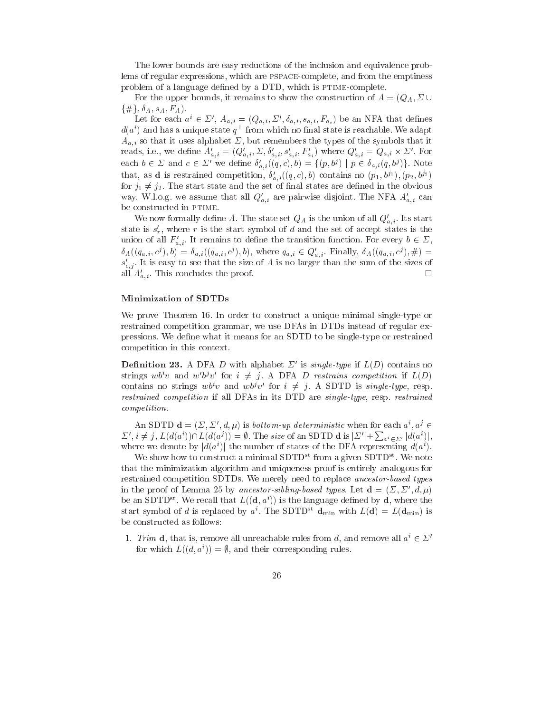The lower bounds are easy reductions of the inclusion and equivalence problems of regular expressions, which are PSPACE-complete, and from the emptiness problem of a language defined by a DTD, which is PTIME-complete.

For the upper bounds, it remains to show the construction of  $A = (Q_A, \Sigma \cup$  $\{\# \}, \delta_A, s_A, F_A$ ).

Let for each  $a^i \in \Sigma'$ ,  $A_{a,i} = (Q_{a,i}, \Sigma', \delta_{a,i}, s_{a,i}, F_{a,i})$  be an NFA that defines  $d(a^i)$  and has a unique state  $q^{\perp}$  from which no final state is reachable. We adapt  $A_{a,i}$  so that it uses alphabet  $\Sigma$ , but remembers the types of the symbols that it reads, i.e., we define  $A'_{a,i} = (Q'_{a,i}, \Sigma, \delta'_{a,i}, s'_{a,i}, F'_{a,i})$  where  $Q'_{a,i} = Q_{a,i} \times \Sigma'$ . For each  $b \in \Sigma$  and  $c \in \Sigma'$  we define  $\delta'_{a,i}((q, c), b) = \{(p, b^j) \mid p \in \delta_{a,i}(q, b^j)\}$ . Note that, as **d** is restrained competition,  $\delta'_{a,i}((q, c), b)$  contains no  $(p_1, b^{j_1}), (p_2, b^{j_2})$ for  $j_1 \neq j_2$ . The start state and the set of final states are defined in the obvious way. W.l.o.g. we assume that all  $Q'_{a,i}$  are pairwise disjoint. The NFA  $A'_{a,i}$  can be constructed in PTIME.

We now formally define A. The state set  $Q_A$  is the union of all  $Q'_{a,i}$ . Its start state is  $s'_r$ , where r is the start symbol of d and the set of accept states is the union of all  $F'_{a,i}$ . It remains to define the transition function. For every  $b \in \Sigma$ ,  $\delta_A((q_{a,i},c^j),b) = \delta_{a,i}((q_{a,i},c^j),b)$ , where  $q_{a,i} \in Q'_{a,i}$ . Finally,  $\delta_A((q_{a,i},c^j),\#) =$  $s'_{c,j}$ . It is easy to see that the size of A is no larger than the sum of the sizes of all  $A'_{a,i}$ . This concludes the proof.

### Minimization of SDTDs

We prove Theorem 16. In order to construct a unique minimal single-type or restrained competition grammar, we use DFAs in DTDs instead of regular expressions. We define what it means for an SDTD to be single-type or restrained competition in this context.

**Definition 23.** A DFA D with alphabet  $\Sigma'$  is *single-type* if  $L(D)$  contains no strings  $wb^i v$  and  $w'b^j v'$  for  $i \neq j$ . A DFA D restrains competition if  $L(D)$ contains no strings  $wb^i v$  and  $wb^j v'$  for  $i \neq j$ . A SDTD is single-type, resp. restrained competition if all DFAs in its DTD are single-type, resp. restrained *competition.* 

An SDTD  $\mathbf{d} = (\Sigma, \Sigma', d, \mu)$  is *bottom-up deterministic* when for each  $a^i, a^j \in$  $\Sigma', i \neq j$ ,  $L(d(a^i)) \cap L(d(a^j)) = \emptyset$ . The size of an SDTD **d** is  $|\Sigma'| + \sum_{a^i \in \Sigma'} |d(a^i)|$ , where we denote by  $|d(a^i)|$  the number of states of the DFA representing  $d(a^i)$ .

We show how to construct a minimal SDTD<sup>st</sup> from a given SDTD<sup>st</sup>. We note that the minimization algorithm and uniqueness proof is entirely analogous for restrained competition SDTDs. We merely need to replace ancestor-based types in the proof of Lemma 25 by ancestor-sibling-based types. Let  $\mathbf{d} = (\Sigma, \Sigma', d, \mu)$ be an SDTD<sup>st</sup>. We recall that  $L((\mathbf{d}, a^i))$  is the language defined by  $\mathbf{d}$ , where the start symbol of d is replaced by  $a^i$ . The SDTD<sup>st</sup> **d**<sub>min</sub> with  $L(\mathbf{d}) = L(\mathbf{d}_{\text{min}})$  is be constructed as follows:

1. Trim d, that is, remove all unreachable rules from d, and remove all  $a^i \in \Sigma'$ for which  $L((d, a^{i})) = \emptyset$ , and their corresponding rules.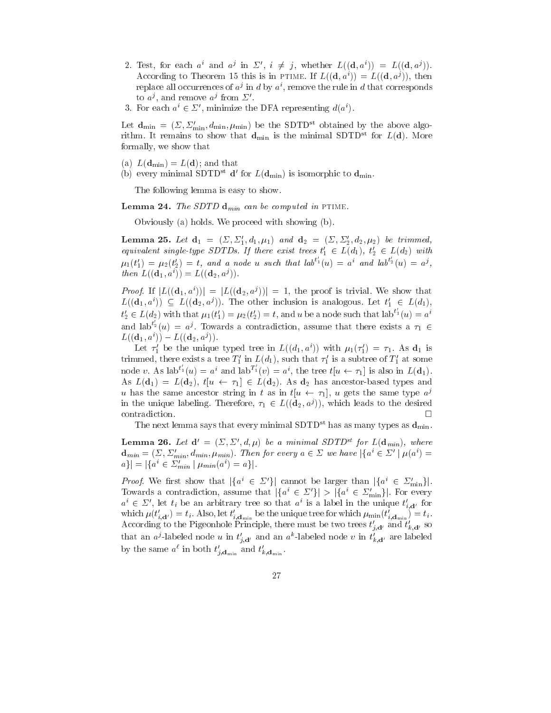- 2. Test, for each  $a^i$  and  $a^j$  in  $\Sigma'$ ,  $i \neq j$ , whether  $L((\mathbf{d}, a^i)) = L((\mathbf{d}, a^j))$ . According to Theorem 15 this is in PTIME. If  $L((\mathbf{d}, a^i)) = L((\mathbf{d}, a^j))$ , then replace all occurrences of  $a^j$  in d by  $a^i$ , remove the rule in d that corresponds to  $a^j$ , and remove  $a^j$  from  $\Sigma'$ .
- 3. For each  $a^i \in \Sigma'$ , minimize the DFA representing  $d(a^i)$ .

Let  $\mathbf{d}_{\min} = (\Sigma, \Sigma'_{\min}, d_{\min}, \mu_{\min})$  be the SDTD<sup>st</sup> obtained by the above algorithm. It remains to show that  $d_{\min}$  is the minimal SDTD<sup>st</sup> for  $L(d)$ . More formally, we show that

(a)  $L(\mathbf{d}_{\min}) = L(\mathbf{d})$ ; and that

(b) every minimal SDTD<sup>st</sup> **d'** for  $L(\mathbf{d}_{\min})$  is isomorphic to  $\mathbf{d}_{\min}$ .

The following lemma is easy to show.

**Lemma 24.** The SDTD  $\mathbf{d}_{min}$  can be computed in PTIME.

Obviously (a) holds. We proceed with showing (b).

**Lemma 25.** Let  $d_1 = (\Sigma, \Sigma'_1, d_1, \mu_1)$  and  $d_2 = (\Sigma, \Sigma'_2, d_2, \mu_2)$  be trimmed, equivalent single-type SDTDs. If there exist trees  $t'_1 \in L(d_1)$ ,  $t'_2 \in L(d_2)$  with  $\mu_1(t'_1) = \mu_2(t'_2) = t$ , and a node u such that  $lab^{t'_1}(u) = a^i$  and  $lab^{t'_2}(u) = a^j$ , then  $L((\mathbf{d}_1, a^i)) = L((\mathbf{d}_2, a^j))$ 

*Proof.* If  $|L((\mathbf{d}_1, a^i))| = |L((\mathbf{d}_2, a^j))| = 1$ , the proof is trivial. We show that  $L((\mathbf{d}_1, a^i)) \subseteq L((\mathbf{d}_2, a^j))$ . The other inclusion is analogous. Let  $t'_1 \in L(d_1)$ ,  $t'_2 \in L(d_2)$  with that  $\mu_1(t'_1) = \mu_2(t'_2) = t$ , and u be a node such that  $lab^{t'_1}(u) = a^i$ and  $\mathrm{lab}^{t'_2}(u) = a^j$ . Towards a contradiction, assume that there exists a  $\tau_1 \in$  $L((\mathbf{d}_1, a^i)) - L((\mathbf{d}_2, a^j)).$ 

Let  $\tau_1'$  be the unique typed tree in  $L((d_1, a^i))$  with  $\mu_1(\tau_1') = \tau_1$ . As  $d_1$  is trimmed, there exists a tree  $T'_1$  in  $L(d_1)$ , such that  $\tau'_1$  is a subtree of  $T'_1$  at some node v. As lab<sup>t'</sup><sub>1</sub>(*u*) =  $a^i$  and lab<sup>T'</sup><sub>1</sub>(*v*) =  $a^i$ , the tree  $t[u \leftarrow \tau_1]$  is also in  $L(\mathbf{d}_1)$ . As  $L(\mathbf{d}_1) = L(\mathbf{d}_2)$ ,  $t[u \leftarrow \tau_1] \in L(\mathbf{d}_2)$ . As  $\mathbf{d}_2$  has ancestor-based types and u has the same ancestor string in t as in  $t[u \leftarrow \tau_1]$ , u gets the same type  $a^j$ in the unique labeling. Therefore,  $\tau_1 \in L((\mathbf{d}_2, a^j))$ , which leads to the desired contradiction. Г

The next lemma says that every minimal SDTD<sup>st</sup> has as many types as  $d_{\min}$ .

**Lemma 26.** Let  $d' = (\Sigma, \Sigma', d, \mu)$  be a minimal SDTD<sup>st</sup> for  $L(d_{min})$ , where  $\mathbf{d}_{min} = (\Sigma, \Sigma'_{min}, d_{min}, \mu_{min})$ . Then for every  $a \in \Sigma$  we have  $|\{a \in \Sigma' \mid \mu(a^*) =$  $|a\rangle = |\{a^i \in \Sigma'_{min} \mid \mu_{min}(a^i) = a\}|.$ 

*Proof.* We first show that  $|\{a^i \in \Sigma'\}|$  cannot be larger than  $|\{a^i \in \Sigma'_{\min}\}|$ . Towards a contradiction, assume that  $|\{a^i \in \Sigma'\}| > |\{a^i \in \Sigma'_{\min}\}|$ . For every  $a^i \in \Sigma'$ , let  $t_i$  be an arbitrary tree so that  $a^i$  is a label in the unique  $t'_{i,\mathbf{d}'}$  for which  $\mu(t'_{i,\mathbf{d}'} ) = t_i$ . Also, let  $t'_{i,\mathbf{d}_{\min}}$  be the unique tree for which  $\mu_{\min}(t'_{i,\mathbf{d}_{\min}}) = t_i$ .<br>According to the Pigeonhole Principle, there must be two trees  $t'_{j,\mathbf{d}'}$  and  $t'_{k,\mathbf{d}'}$  so that an  $a^j$ -labeled node u in  $t'_{j, d'}$  and an  $a^k$ -labeled node v in  $t'_{k, d'}$  are labeled by the same  $a^{\ell}$  in both  $t'_{i,\mathbf{d}_{\min}}$  and  $t'_{k,\mathbf{d}_{\min}}$ .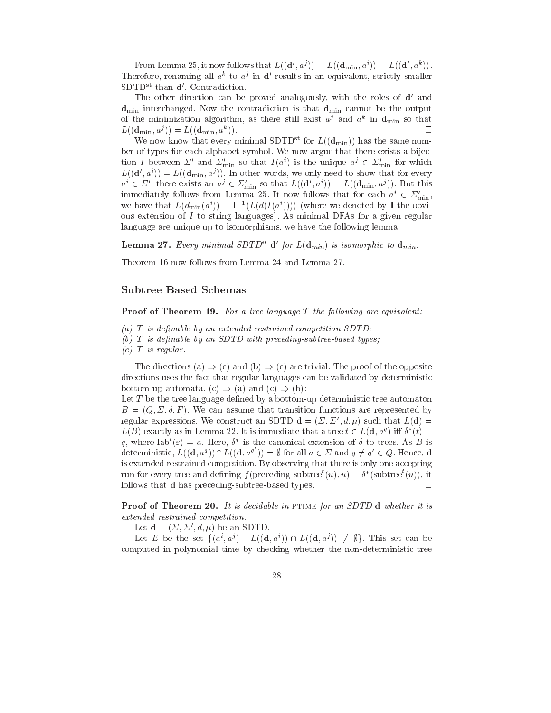From Lemma 25, it now follows that  $L((\mathbf{d}', a^j)) = L((\mathbf{d}_{\min}, a^i)) = L((\mathbf{d}', a^k)).$ Therefore, renaming all  $a^k$  to  $a^j$  in  $d'$  results in an equivalent, strictly smaller SDTD<sup>st</sup> than **d'**. Contradiction.

The other direction can be proved analogously, with the roles of  $d'$  and  $d_{\min}$  interchanged. Now the contradiction is that  $d_{\min}$  cannot be the output of the minimization algorithm, as there still exist  $a^j$  and  $a^k$  in  $\mathbf{d}_{\text{min}}$  so that  $L((\mathbf{d}_{\min}, a^j)) = L((\mathbf{d}_{\min}, a^k)).$  $\Box$ 

We now know that every minimal SDTD<sup>st</sup> for  $L((\mathbf{d}_{\min}))$  has the same number of types for each alphabet symbol. We now argue that there exists a bijection I between  $\Sigma'$  and  $\Sigma'_{\min}$  so that  $I(a^i)$  is the unique  $a^j \in \Sigma'_{\min}$  for which  $L((\mathbf{d}',a^i)) = L((\mathbf{d}_{\min},a^j))$ . In other words, we only need to show that for every  $a^i \in \Sigma'$ , there exists an  $a^j \in \Sigma'_{\min}$  so that  $L((\mathbf{d}', a^i)) = L((\mathbf{d}_{\min}, a^j))$ . But this immediately follows from Lemma 25. It now follows that for each  $a^i \in \Sigma'_{\min}$ , we have that  $L(d_{\min}(a^i)) = I^{-1}(L(d(I(a^i))))$  (where we denoted by I the obvious extension of I to string languages). As minimal DFAs for a given regular language are unique up to isomorphisms, we have the following lemma:

**Lemma 27.** Every minimal SDTD<sup>st</sup> d' for  $L(\mathbf{d}_{min})$  is isomorphic to  $\mathbf{d}_{min}$ .

Theorem 16 now follows from Lemma 24 and Lemma 27.

### **Subtree Based Schemas**

**Proof of Theorem 19.** For a tree language T the following are equivalent:

(a)  $T$  is definable by an extended restrained competition SDTD;

(b)  $T$  is definable by an SDTD with preceding-subtree-based types;

 $(c)$  T is regular.

The directions (a)  $\Rightarrow$  (c) and (b)  $\Rightarrow$  (c) are trivial. The proof of the opposite directions uses the fact that regular languages can be validated by deterministic bottom-up automata. (c)  $\Rightarrow$  (a) and (c)  $\Rightarrow$  (b):

Let  $T$  be the tree language defined by a bottom-up deterministic tree automaton  $B = (Q, \Sigma, \delta, F)$ . We can assume that transition functions are represented by regular expressions. We construct an SDTD  $\mathbf{d} = (\Sigma, \Sigma', d, \mu)$  such that  $L(\mathbf{d}) =$  $L(B)$  exactly as in Lemma 22. It is immediate that a tree  $t \in L(\mathbf{d}, a^q)$  iff  $\delta^*(t) =$ q, where  $\mathrm{lab}^{t}(\varepsilon) = a$ . Here,  $\delta^*$  is the canonical extension of  $\delta$  to trees. As B is deterministic,  $L((\mathbf{d}, a^q)) \cap L((\mathbf{d}, a^{q'})) = \emptyset$  for all  $a \in \Sigma$  and  $q \neq q' \in Q$ . Hence, **d** is extended restrained competition. By observing that there is only one accepting run for every tree and defining  $f(\text{preceding-subtree}^t(u), u) = \delta^*(\text{subtree}^t(u)),$  it follows that **d** has preceding-subtree-based types. Г

**Proof of Theorem 20.** It is decidable in PTIME for an SDTD d whether it is extended restrained competition

Let  $\mathbf{d} = (\Sigma, \Sigma', d, \mu)$  be an SDTD.

Let E be the set  $\{(a^i, a^j) \mid L((\mathbf{d}, a^i)) \cap L((\mathbf{d}, a^j)) \neq \emptyset\}$ . This set can be computed in polynomial time by checking whether the non-deterministic tree